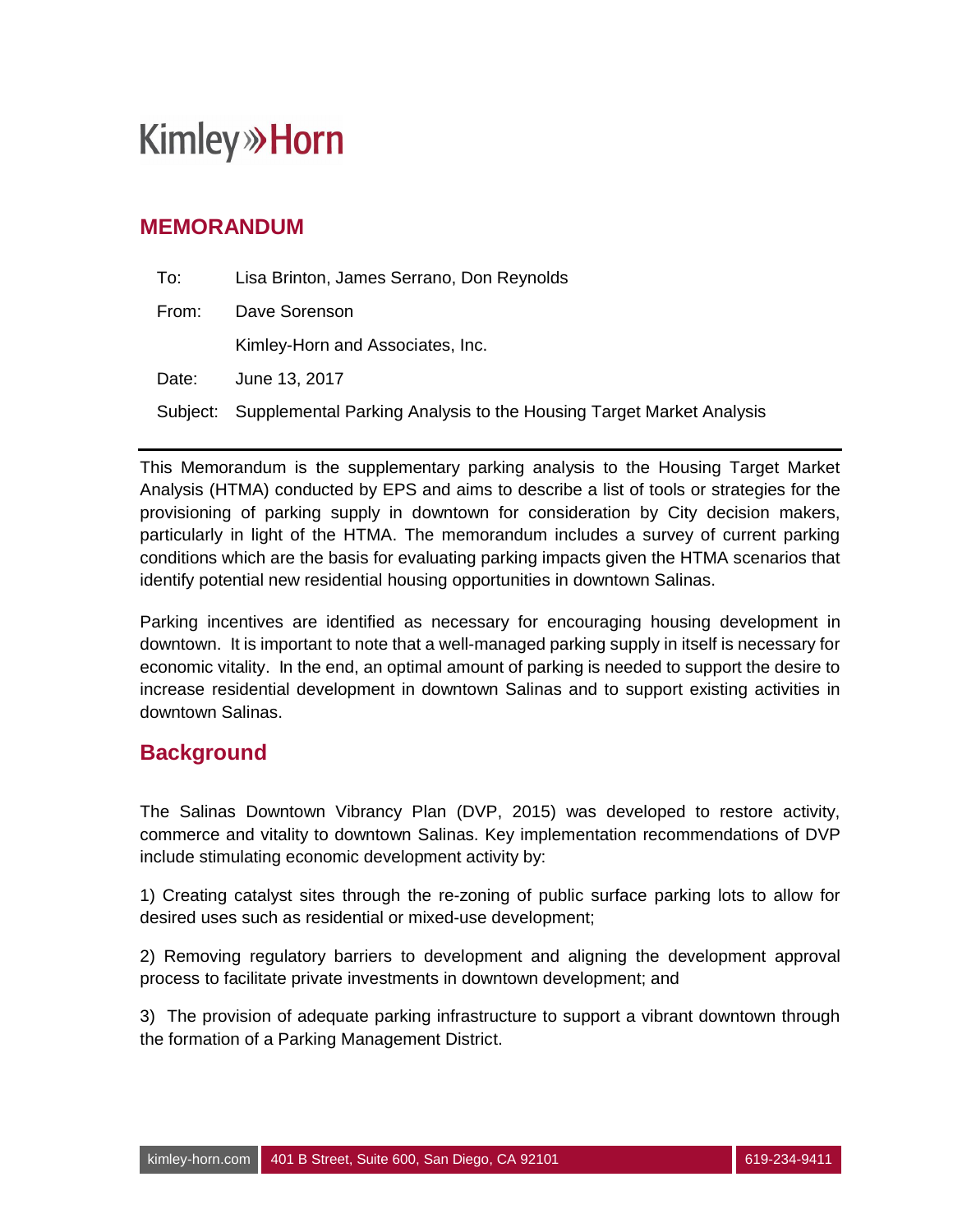### **MEMORANDUM**

| To:   | Lisa Brinton, James Serrano, Don Reynolds                                    |
|-------|------------------------------------------------------------------------------|
| From: | Dave Sorenson                                                                |
|       | Kimley-Horn and Associates, Inc.                                             |
| Date: | June 13, 2017                                                                |
|       | Subject: Supplemental Parking Analysis to the Housing Target Market Analysis |

This Memorandum is the supplementary parking analysis to the Housing Target Market Analysis (HTMA) conducted by EPS and aims to describe a list of tools or strategies for the provisioning of parking supply in downtown for consideration by City decision makers, particularly in light of the HTMA. The memorandum includes a survey of current parking conditions which are the basis for evaluating parking impacts given the HTMA scenarios that identify potential new residential housing opportunities in downtown Salinas.

Parking incentives are identified as necessary for encouraging housing development in downtown. It is important to note that a well-managed parking supply in itself is necessary for economic vitality. In the end, an optimal amount of parking is needed to support the desire to increase residential development in downtown Salinas and to support existing activities in downtown Salinas.

### **Background**

The Salinas Downtown Vibrancy Plan (DVP, 2015) was developed to restore activity, commerce and vitality to downtown Salinas. Key implementation recommendations of DVP include stimulating economic development activity by:

1) Creating catalyst sites through the re-zoning of public surface parking lots to allow for desired uses such as residential or mixed-use development;

2) Removing regulatory barriers to development and aligning the development approval process to facilitate private investments in downtown development; and

3) The provision of adequate parking infrastructure to support a vibrant downtown through the formation of a Parking Management District.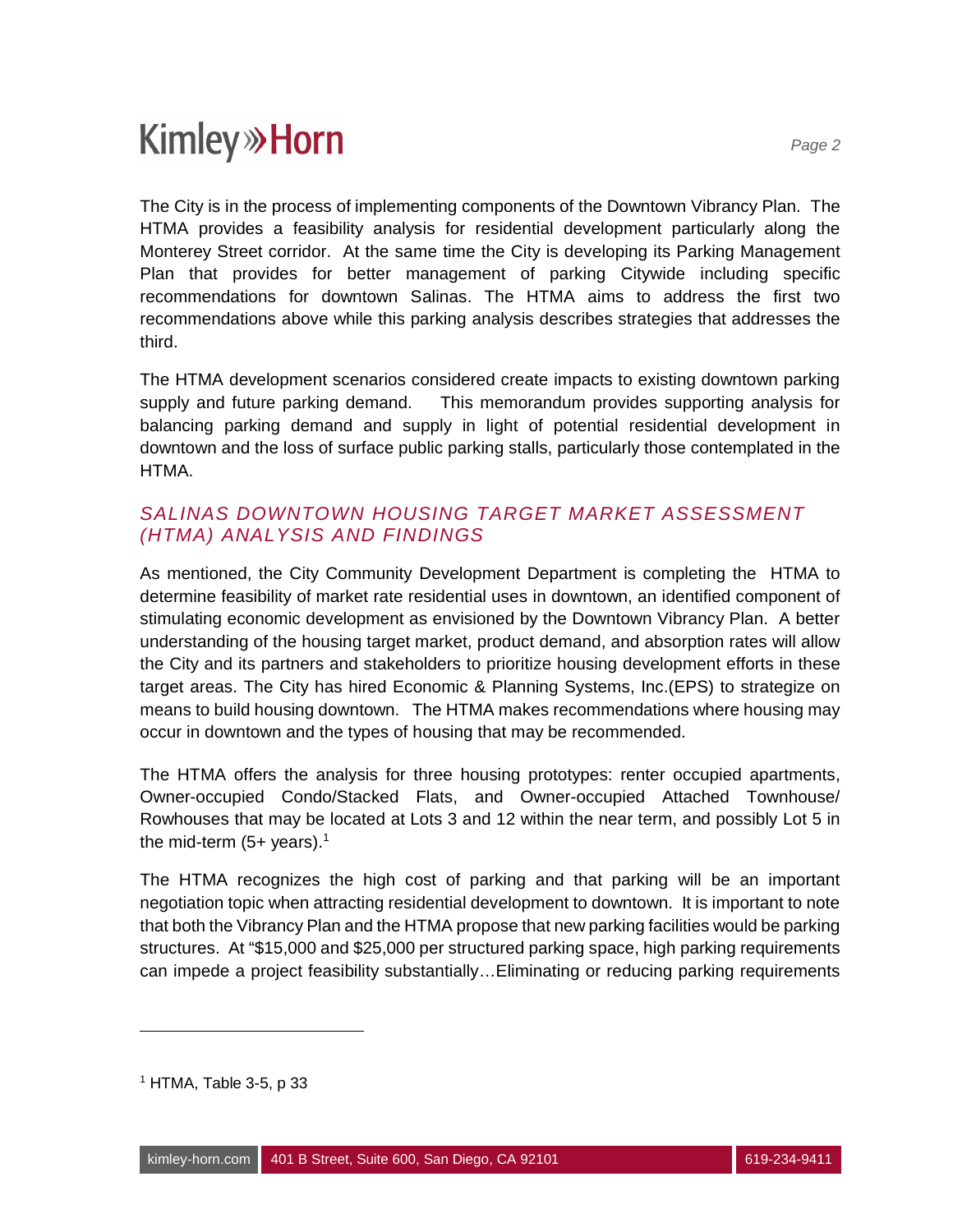The City is in the process of implementing components of the Downtown Vibrancy Plan. The HTMA provides a feasibility analysis for residential development particularly along the Monterey Street corridor. At the same time the City is developing its Parking Management Plan that provides for better management of parking Citywide including specific recommendations for downtown Salinas. The HTMA aims to address the first two recommendations above while this parking analysis describes strategies that addresses the third.

The HTMA development scenarios considered create impacts to existing downtown parking supply and future parking demand. This memorandum provides supporting analysis for balancing parking demand and supply in light of potential residential development in downtown and the loss of surface public parking stalls, particularly those contemplated in the HTMA.

### *SALINAS DOWNTOWN HOUSING TARGET MARKET ASSESSMENT (HTMA) ANALYSIS AND FINDINGS*

As mentioned, the City Community Development Department is completing the HTMA to determine feasibility of market rate residential uses in downtown, an identified component of stimulating economic development as envisioned by the Downtown Vibrancy Plan. A better understanding of the housing target market, product demand, and absorption rates will allow the City and its partners and stakeholders to prioritize housing development efforts in these target areas. The City has hired Economic & Planning Systems, Inc.(EPS) to strategize on means to build housing downtown. The HTMA makes recommendations where housing may occur in downtown and the types of housing that may be recommended.

The HTMA offers the analysis for three housing prototypes: renter occupied apartments, Owner-occupied Condo/Stacked Flats, and Owner-occupied Attached Townhouse/ Rowhouses that may be located at Lots 3 and 12 within the near term, and possibly Lot 5 in the mid-term  $(5+)$  years).<sup>1</sup>

The HTMA recognizes the high cost of parking and that parking will be an important negotiation topic when attracting residential development to downtown. It is important to note that both the Vibrancy Plan and the HTMA propose that new parking facilities would be parking structures. At "\$15,000 and \$25,000 per structured parking space, high parking requirements can impede a project feasibility substantially…Eliminating or reducing parking requirements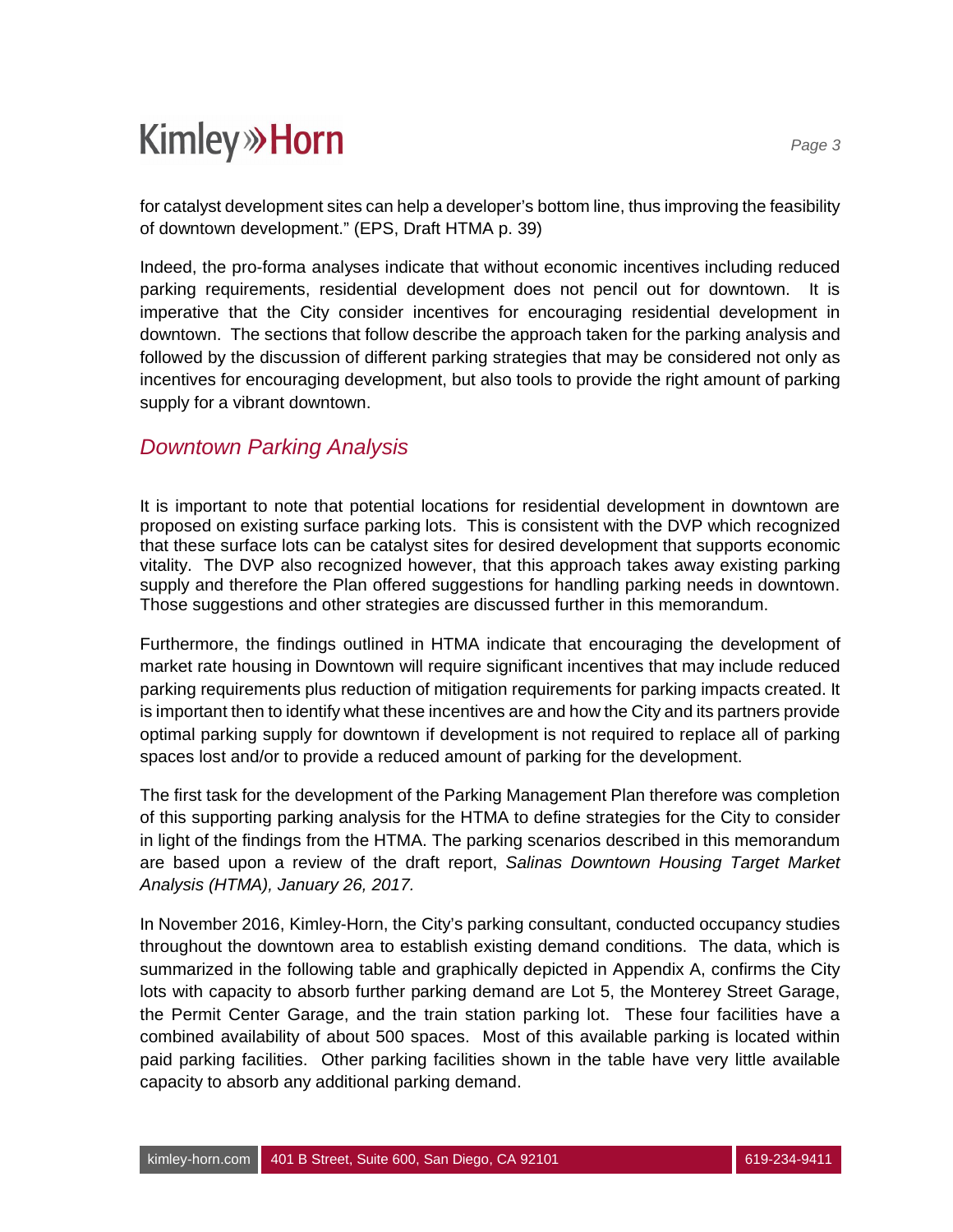for catalyst development sites can help a developer's bottom line, thus improving the feasibility of downtown development." (EPS, Draft HTMA p. 39)

Indeed, the pro-forma analyses indicate that without economic incentives including reduced parking requirements, residential development does not pencil out for downtown. It is imperative that the City consider incentives for encouraging residential development in downtown. The sections that follow describe the approach taken for the parking analysis and followed by the discussion of different parking strategies that may be considered not only as incentives for encouraging development, but also tools to provide the right amount of parking supply for a vibrant downtown.

### *Downtown Parking Analysis*

It is important to note that potential locations for residential development in downtown are proposed on existing surface parking lots. This is consistent with the DVP which recognized that these surface lots can be catalyst sites for desired development that supports economic vitality. The DVP also recognized however, that this approach takes away existing parking supply and therefore the Plan offered suggestions for handling parking needs in downtown. Those suggestions and other strategies are discussed further in this memorandum.

Furthermore, the findings outlined in HTMA indicate that encouraging the development of market rate housing in Downtown will require significant incentives that may include reduced parking requirements plus reduction of mitigation requirements for parking impacts created. It is important then to identify what these incentives are and how the City and its partners provide optimal parking supply for downtown if development is not required to replace all of parking spaces lost and/or to provide a reduced amount of parking for the development.

The first task for the development of the Parking Management Plan therefore was completion of this supporting parking analysis for the HTMA to define strategies for the City to consider in light of the findings from the HTMA. The parking scenarios described in this memorandum are based upon a review of the draft report, *Salinas Downtown Housing Target Market Analysis (HTMA), January 26, 2017.*

In November 2016, Kimley-Horn, the City's parking consultant, conducted occupancy studies throughout the downtown area to establish existing demand conditions. The data, which is summarized in the following table and graphically depicted in Appendix A, confirms the City lots with capacity to absorb further parking demand are Lot 5, the Monterey Street Garage, the Permit Center Garage, and the train station parking lot. These four facilities have a combined availability of about 500 spaces. Most of this available parking is located within paid parking facilities. Other parking facilities shown in the table have very little available capacity to absorb any additional parking demand.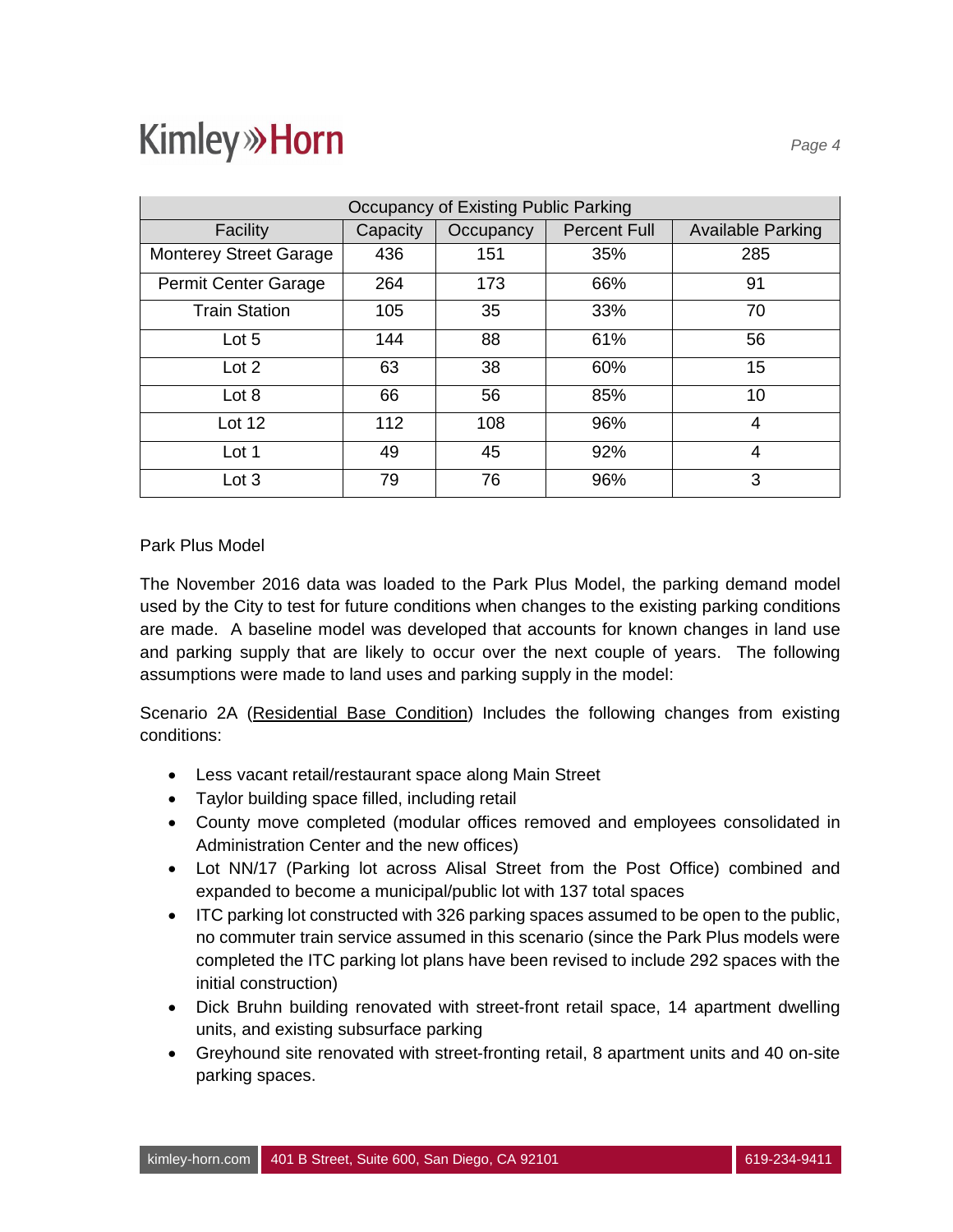| Occupancy of Existing Public Parking |          |           |                     |                          |  |  |  |  |  |
|--------------------------------------|----------|-----------|---------------------|--------------------------|--|--|--|--|--|
| Facility                             | Capacity | Occupancy | <b>Percent Full</b> | <b>Available Parking</b> |  |  |  |  |  |
| <b>Monterey Street Garage</b>        | 436      | 151       | 35%                 | 285                      |  |  |  |  |  |
| Permit Center Garage                 | 264      | 173       | 66%                 | 91                       |  |  |  |  |  |
| <b>Train Station</b>                 | 105      | 35        | 33%                 | 70                       |  |  |  |  |  |
| Lot 5                                | 144      | 88        | 61%                 | 56                       |  |  |  |  |  |
| Lot <sub>2</sub>                     | 63       | 38        | 60%                 | 15                       |  |  |  |  |  |
| Lot 8                                | 66       | 56        | 85%                 | 10                       |  |  |  |  |  |
| Lot $12$                             | 112      | 108       | 96%                 | 4                        |  |  |  |  |  |
| Lot 1                                | 49       | 45        | 92%                 | 4                        |  |  |  |  |  |
| Lot 3                                | 79       | 76        | 96%                 | 3                        |  |  |  |  |  |

#### Park Plus Model

The November 2016 data was loaded to the Park Plus Model, the parking demand model used by the City to test for future conditions when changes to the existing parking conditions are made. A baseline model was developed that accounts for known changes in land use and parking supply that are likely to occur over the next couple of years. The following assumptions were made to land uses and parking supply in the model:

Scenario 2A (Residential Base Condition) Includes the following changes from existing conditions:

- · Less vacant retail/restaurant space along Main Street
- · Taylor building space filled, including retail
- · County move completed (modular offices removed and employees consolidated in Administration Center and the new offices)
- · Lot NN/17 (Parking lot across Alisal Street from the Post Office) combined and expanded to become a municipal/public lot with 137 total spaces
- · ITC parking lot constructed with 326 parking spaces assumed to be open to the public, no commuter train service assumed in this scenario (since the Park Plus models were completed the ITC parking lot plans have been revised to include 292 spaces with the initial construction)
- · Dick Bruhn building renovated with street-front retail space, 14 apartment dwelling units, and existing subsurface parking
- · Greyhound site renovated with street-fronting retail, 8 apartment units and 40 on-site parking spaces.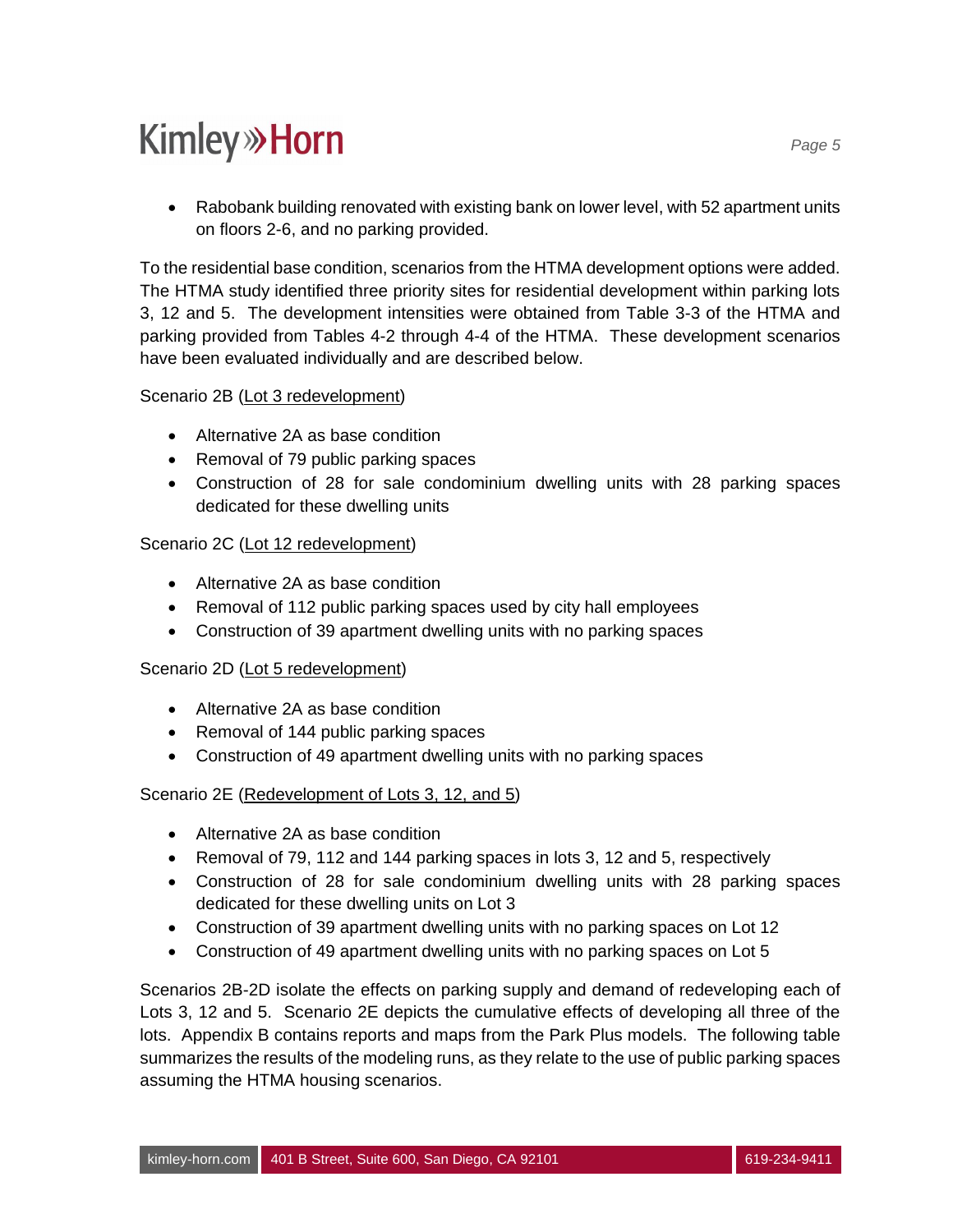• Rabobank building renovated with existing bank on lower level, with 52 apartment units on floors 2-6, and no parking provided.

To the residential base condition, scenarios from the HTMA development options were added. The HTMA study identified three priority sites for residential development within parking lots 3, 12 and 5. The development intensities were obtained from Table 3-3 of the HTMA and parking provided from Tables 4-2 through 4-4 of the HTMA. These development scenarios have been evaluated individually and are described below.

#### Scenario 2B (Lot 3 redevelopment)

- · Alternative 2A as base condition
- · Removal of 79 public parking spaces
- · Construction of 28 for sale condominium dwelling units with 28 parking spaces dedicated for these dwelling units

#### Scenario 2C (Lot 12 redevelopment)

- · Alternative 2A as base condition
- · Removal of 112 public parking spaces used by city hall employees
- · Construction of 39 apartment dwelling units with no parking spaces

#### Scenario 2D (Lot 5 redevelopment)

- · Alternative 2A as base condition
- Removal of 144 public parking spaces
- · Construction of 49 apartment dwelling units with no parking spaces

#### Scenario 2E (Redevelopment of Lots 3, 12, and 5)

- Alternative 2A as base condition
- · Removal of 79, 112 and 144 parking spaces in lots 3, 12 and 5, respectively
- · Construction of 28 for sale condominium dwelling units with 28 parking spaces dedicated for these dwelling units on Lot 3
- · Construction of 39 apartment dwelling units with no parking spaces on Lot 12
- Construction of 49 apartment dwelling units with no parking spaces on Lot 5

Scenarios 2B-2D isolate the effects on parking supply and demand of redeveloping each of Lots 3, 12 and 5. Scenario 2E depicts the cumulative effects of developing all three of the lots. Appendix B contains reports and maps from the Park Plus models. The following table summarizes the results of the modeling runs, as they relate to the use of public parking spaces assuming the HTMA housing scenarios.

*Page 5*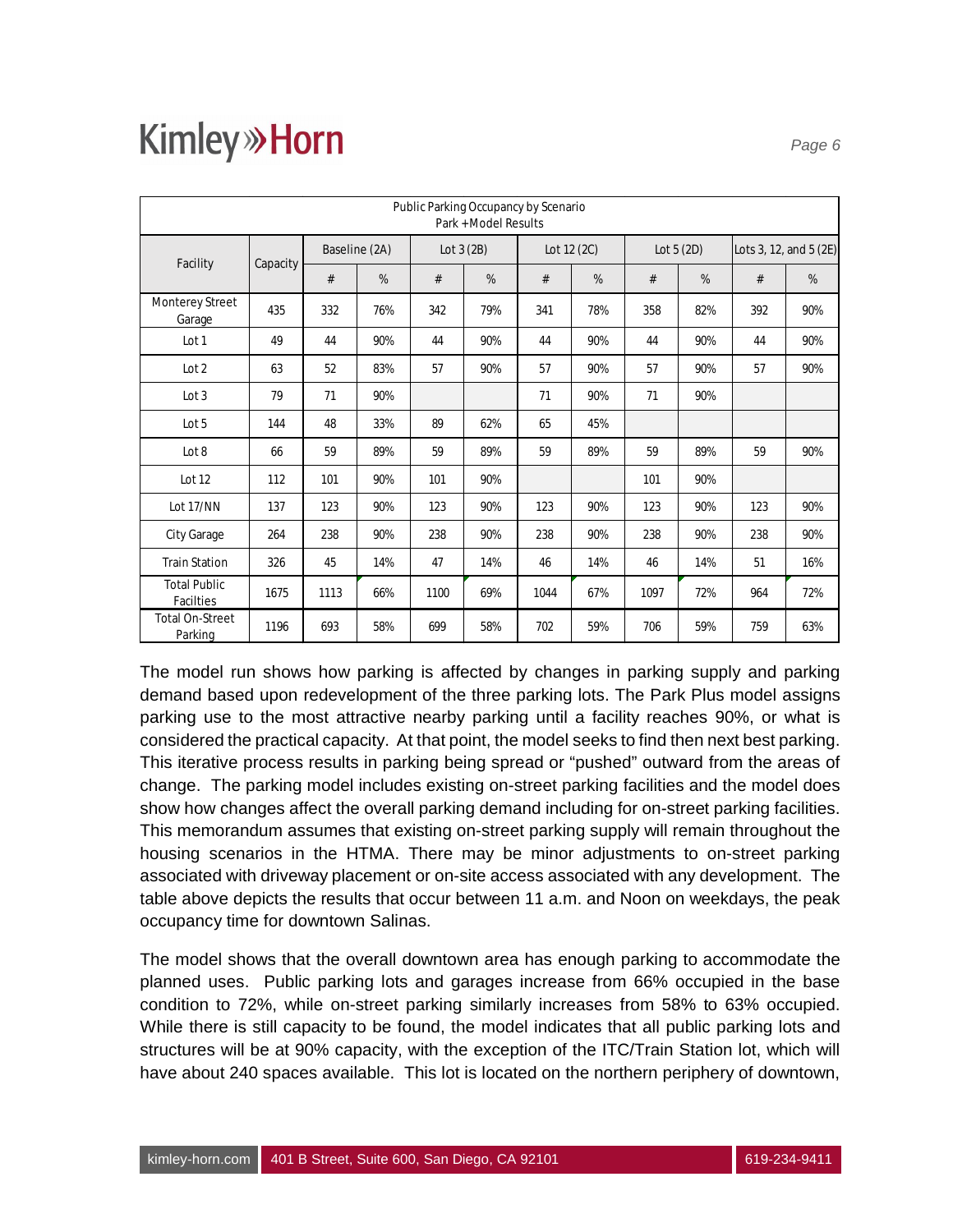| Public Parking Occupancy by Scenario<br>Park + Model Results |          |               |     |             |     |             |     |             |     |                        |     |
|--------------------------------------------------------------|----------|---------------|-----|-------------|-----|-------------|-----|-------------|-----|------------------------|-----|
|                                                              |          | Baseline (2A) |     | Lot $3(2B)$ |     | Lot 12 (2C) |     | Lot $5(2D)$ |     | Lots 3, 12, and 5 (2E) |     |
| Facility                                                     | Capacity | #             | %   | #           | %   | #           | %   | #           | %   | #                      | %   |
| Monterey Street<br>Garage                                    | 435      | 332           | 76% | 342         | 79% | 341         | 78% | 358         | 82% | 392                    | 90% |
| Lot 1                                                        | 49       | 44            | 90% | 44          | 90% | 44          | 90% | 44          | 90% | 44                     | 90% |
| Lot <sub>2</sub>                                             | 63       | 52            | 83% | 57          | 90% | 57          | 90% | 57          | 90% | 57                     | 90% |
| Lot <sub>3</sub>                                             | 79       | 71            | 90% |             |     | 71          | 90% | 71          | 90% |                        |     |
| Lot 5                                                        | 144      | 48            | 33% | 89          | 62% | 65          | 45% |             |     |                        |     |
| Lot 8                                                        | 66       | 59            | 89% | 59          | 89% | 59          | 89% | 59          | 89% | 59                     | 90% |
| Lot 12                                                       | 112      | 101           | 90% | 101         | 90% |             |     | 101         | 90% |                        |     |
| Lot 17/NN                                                    | 137      | 123           | 90% | 123         | 90% | 123         | 90% | 123         | 90% | 123                    | 90% |
| City Garage                                                  | 264      | 238           | 90% | 238         | 90% | 238         | 90% | 238         | 90% | 238                    | 90% |
| <b>Train Station</b>                                         | 326      | 45            | 14% | 47          | 14% | 46          | 14% | 46          | 14% | 51                     | 16% |
| <b>Total Public</b><br>Facilties                             | 1675     | 1113          | 66% | 1100        | 69% | 1044        | 67% | 1097        | 72% | 964                    | 72% |
| <b>Total On-Street</b><br>Parking                            | 1196     | 693           | 58% | 699         | 58% | 702         | 59% | 706         | 59% | 759                    | 63% |

The model run shows how parking is affected by changes in parking supply and parking demand based upon redevelopment of the three parking lots. The Park Plus model assigns parking use to the most attractive nearby parking until a facility reaches 90%, or what is considered the practical capacity. At that point, the model seeks to find then next best parking. This iterative process results in parking being spread or "pushed" outward from the areas of change. The parking model includes existing on-street parking facilities and the model does show how changes affect the overall parking demand including for on-street parking facilities. This memorandum assumes that existing on-street parking supply will remain throughout the housing scenarios in the HTMA. There may be minor adjustments to on-street parking associated with driveway placement or on-site access associated with any development. The table above depicts the results that occur between 11 a.m. and Noon on weekdays, the peak occupancy time for downtown Salinas.

The model shows that the overall downtown area has enough parking to accommodate the planned uses. Public parking lots and garages increase from 66% occupied in the base condition to 72%, while on-street parking similarly increases from 58% to 63% occupied. While there is still capacity to be found, the model indicates that all public parking lots and structures will be at 90% capacity, with the exception of the ITC/Train Station lot, which will have about 240 spaces available. This lot is located on the northern periphery of downtown,

*Page 6*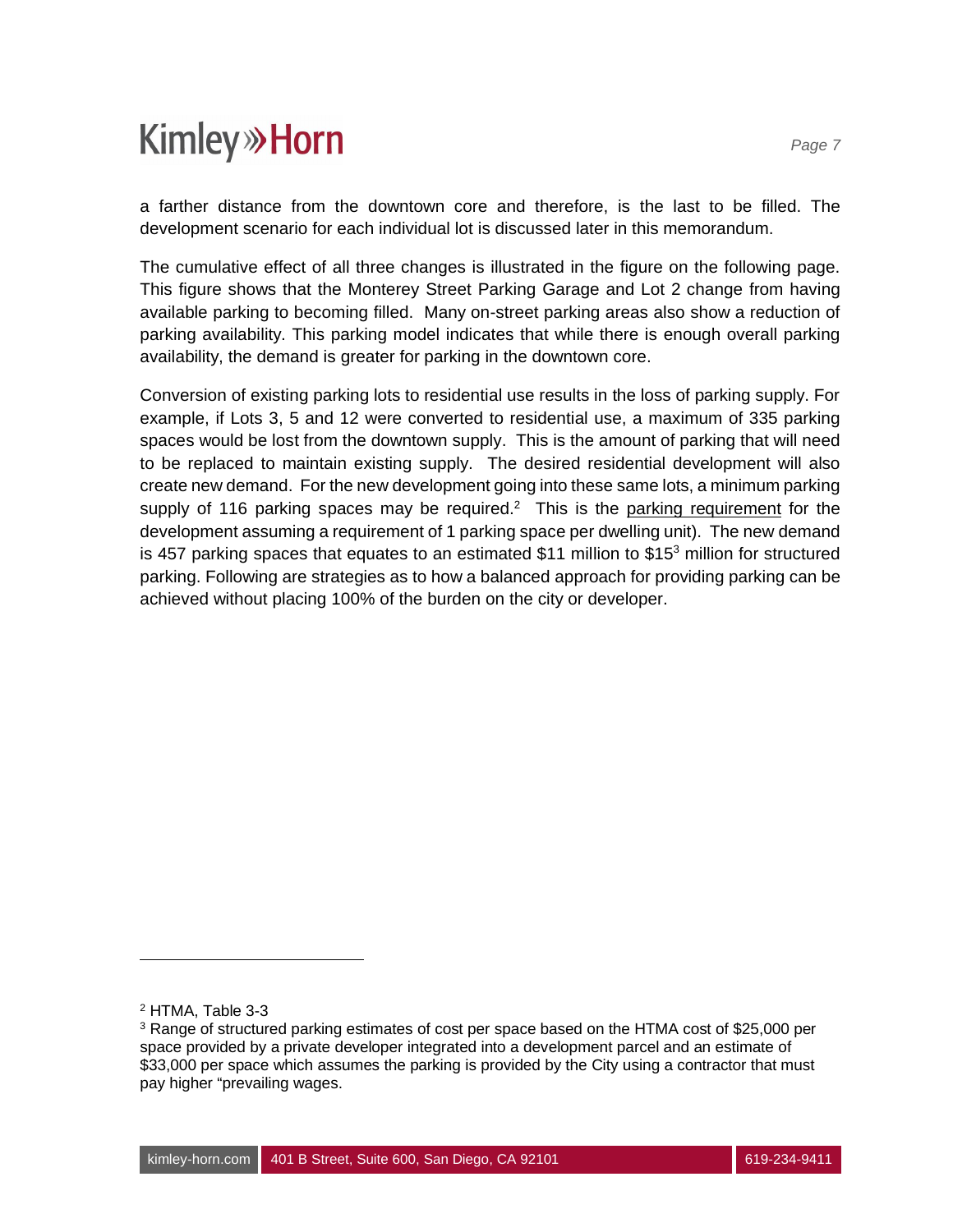a farther distance from the downtown core and therefore, is the last to be filled. The development scenario for each individual lot is discussed later in this memorandum.

The cumulative effect of all three changes is illustrated in the figure on the following page. This figure shows that the Monterey Street Parking Garage and Lot 2 change from having available parking to becoming filled. Many on-street parking areas also show a reduction of parking availability. This parking model indicates that while there is enough overall parking availability, the demand is greater for parking in the downtown core.

Conversion of existing parking lots to residential use results in the loss of parking supply. For example, if Lots 3, 5 and 12 were converted to residential use, a maximum of 335 parking spaces would be lost from the downtown supply. This is the amount of parking that will need to be replaced to maintain existing supply. The desired residential development will also create new demand. For the new development going into these same lots, a minimum parking supply of 116 parking spaces may be required.<sup>2</sup> This is the parking requirement for the development assuming a requirement of 1 parking space per dwelling unit). The new demand is 457 parking spaces that equates to an estimated \$11 million to \$15<sup>3</sup> million for structured parking. Following are strategies as to how a balanced approach for providing parking can be achieved without placing 100% of the burden on the city or developer.

<sup>&</sup>lt;sup>2</sup> HTMA, Table 3-3

 $3$  Range of structured parking estimates of cost per space based on the HTMA cost of \$25,000 per space provided by a private developer integrated into a development parcel and an estimate of \$33,000 per space which assumes the parking is provided by the City using a contractor that must pay higher "prevailing wages.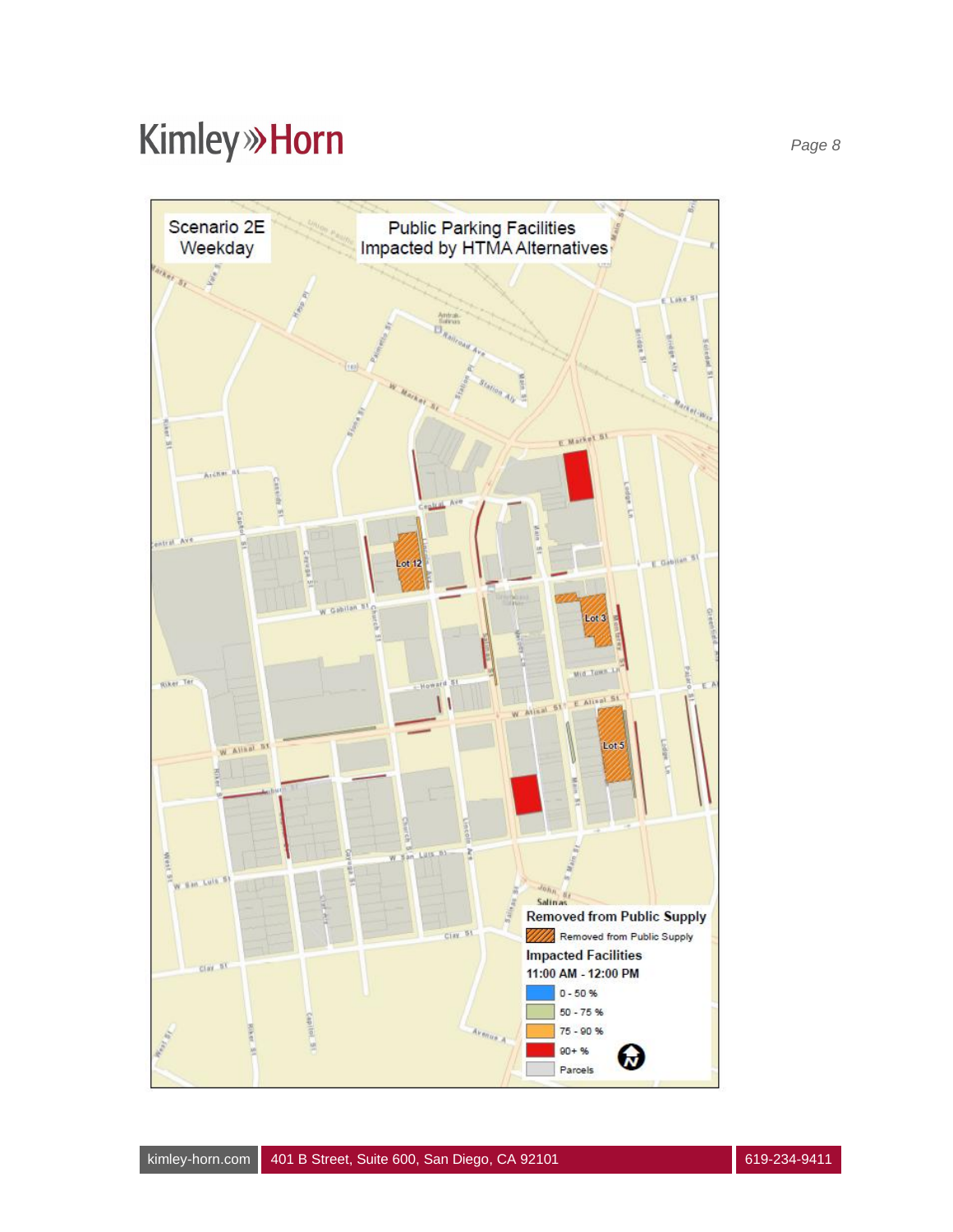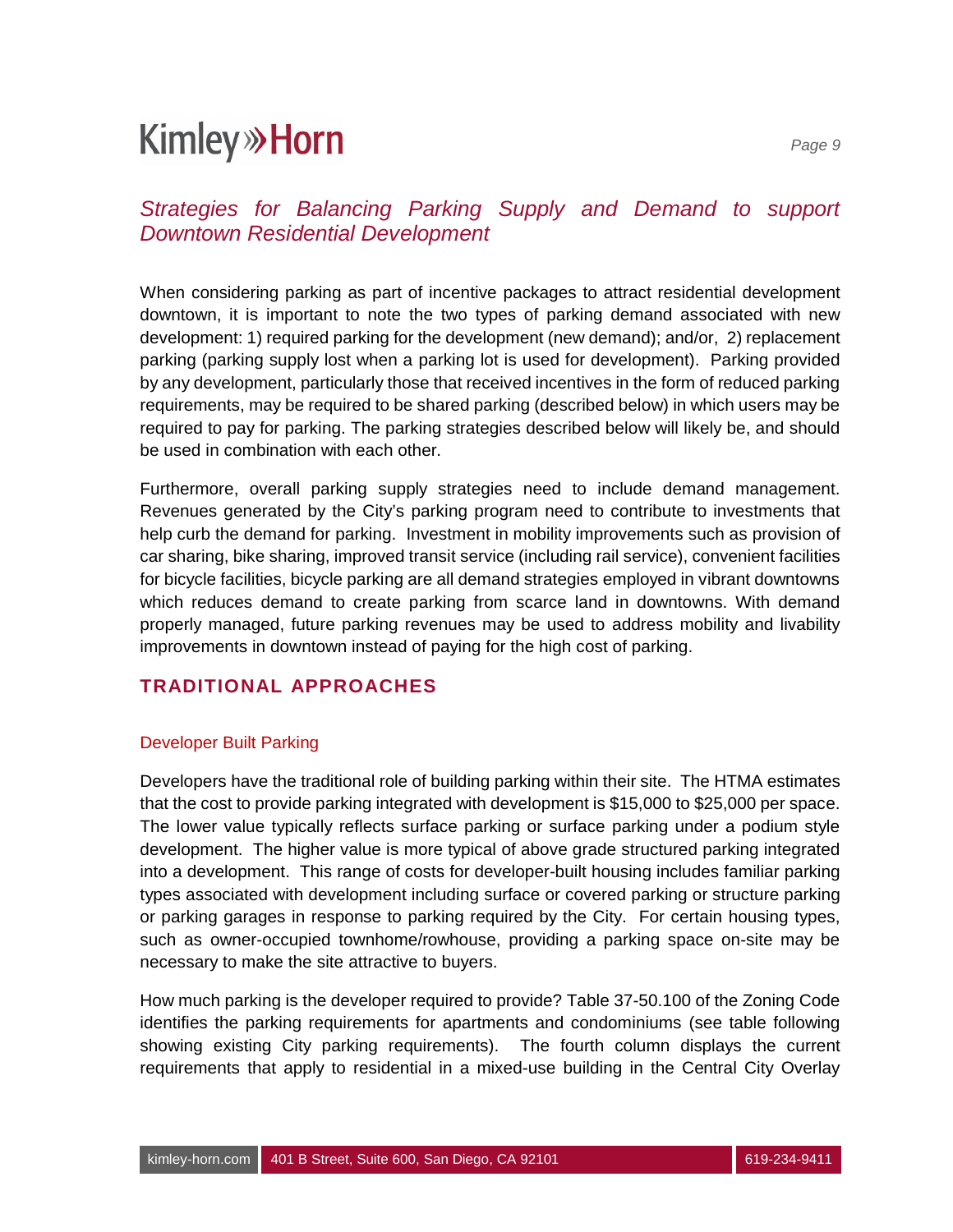When considering parking as part of incentive packages to attract residential development downtown, it is important to note the two types of parking demand associated with new development: 1) required parking for the development (new demand); and/or, 2) replacement parking (parking supply lost when a parking lot is used for development). Parking provided by any development, particularly those that received incentives in the form of reduced parking requirements, may be required to be shared parking (described below) in which users may be required to pay for parking. The parking strategies described below will likely be, and should be used in combination with each other.

Furthermore, overall parking supply strategies need to include demand management. Revenues generated by the City's parking program need to contribute to investments that help curb the demand for parking. Investment in mobility improvements such as provision of car sharing, bike sharing, improved transit service (including rail service), convenient facilities for bicycle facilities, bicycle parking are all demand strategies employed in vibrant downtowns which reduces demand to create parking from scarce land in downtowns. With demand properly managed, future parking revenues may be used to address mobility and livability improvements in downtown instead of paying for the high cost of parking.

### **TRADITIONAL APPROACHES**

#### Developer Built Parking

Developers have the traditional role of building parking within their site. The HTMA estimates that the cost to provide parking integrated with development is \$15,000 to \$25,000 per space. The lower value typically reflects surface parking or surface parking under a podium style development. The higher value is more typical of above grade structured parking integrated into a development. This range of costs for developer-built housing includes familiar parking types associated with development including surface or covered parking or structure parking or parking garages in response to parking required by the City. For certain housing types, such as owner-occupied townhome/rowhouse, providing a parking space on-site may be necessary to make the site attractive to buyers.

How much parking is the developer required to provide? Table 37-50.100 of the Zoning Code identifies the parking requirements for apartments and condominiums (see table following showing existing City parking requirements). The fourth column displays the current requirements that apply to residential in a mixed-use building in the Central City Overlay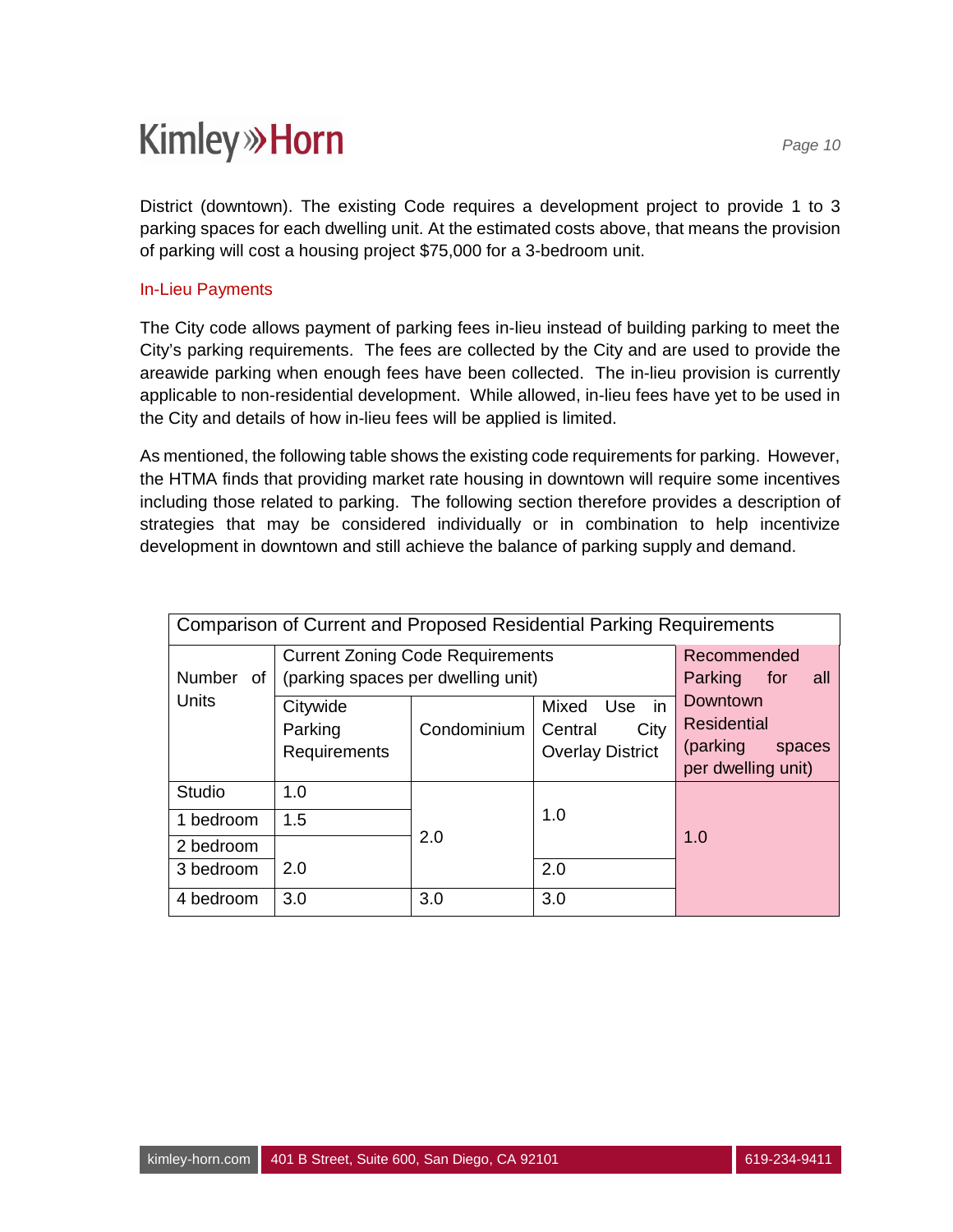District (downtown). The existing Code requires a development project to provide 1 to 3 parking spaces for each dwelling unit. At the estimated costs above, that means the provision of parking will cost a housing project \$75,000 for a 3-bedroom unit.

#### In-Lieu Payments

The City code allows payment of parking fees in-lieu instead of building parking to meet the City's parking requirements. The fees are collected by the City and are used to provide the areawide parking when enough fees have been collected. The in-lieu provision is currently applicable to non-residential development. While allowed, in-lieu fees have yet to be used in the City and details of how in-lieu fees will be applied is limited.

As mentioned, the following table shows the existing code requirements for parking. However, the HTMA finds that providing market rate housing in downtown will require some incentives including those related to parking. The following section therefore provides a description of strategies that may be considered individually or in combination to help incentivize development in downtown and still achieve the balance of parking supply and demand.

| Comparison of Current and Proposed Residential Parking Requirements |                                                                                                                      |                                                                                                                     |     |  |  |  |  |  |
|---------------------------------------------------------------------|----------------------------------------------------------------------------------------------------------------------|---------------------------------------------------------------------------------------------------------------------|-----|--|--|--|--|--|
| <b>Number</b><br>0f<br>Units                                        | <b>Current Zoning Code Requirements</b><br>(parking spaces per dwelling unit)<br>Citywide<br>Parking<br>Requirements | Recommended<br>Parking<br>for<br>all<br>Downtown<br><b>Residential</b><br>(parking)<br>spaces<br>per dwelling unit) |     |  |  |  |  |  |
| Studio                                                              | 1.0                                                                                                                  |                                                                                                                     |     |  |  |  |  |  |
| 1.5<br>1 bedroom                                                    |                                                                                                                      | 2.0                                                                                                                 | 1.0 |  |  |  |  |  |
| 2 bedroom                                                           |                                                                                                                      |                                                                                                                     | 1.0 |  |  |  |  |  |
| 3 bedroom                                                           | 2.0                                                                                                                  |                                                                                                                     | 2.0 |  |  |  |  |  |
| 4 bedroom                                                           | 3.0                                                                                                                  | 3.0                                                                                                                 | 3.0 |  |  |  |  |  |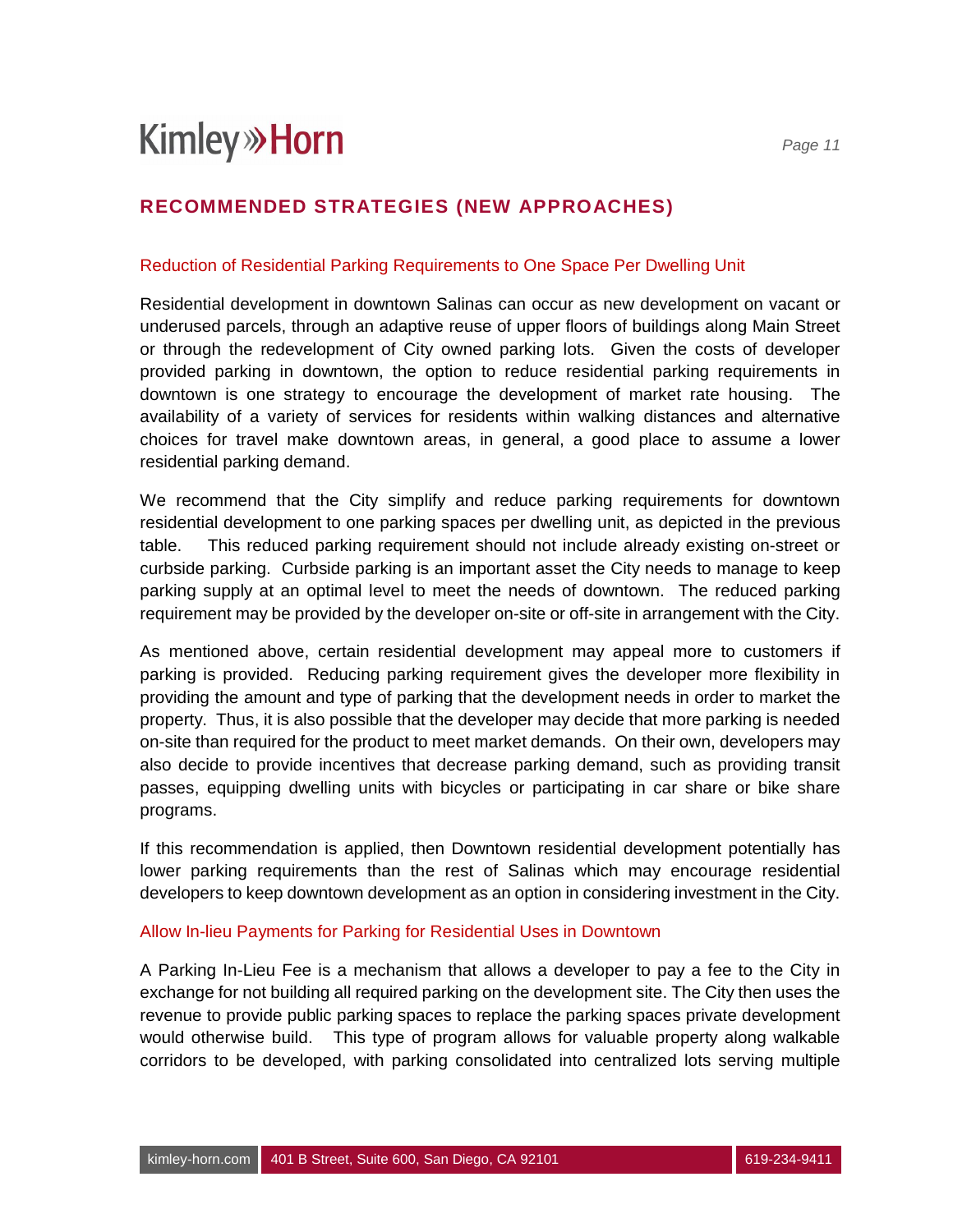### **RECOMMENDED STRATEGIES (NEW APPROACHES)**

#### Reduction of Residential Parking Requirements to One Space Per Dwelling Unit

Residential development in downtown Salinas can occur as new development on vacant or underused parcels, through an adaptive reuse of upper floors of buildings along Main Street or through the redevelopment of City owned parking lots. Given the costs of developer provided parking in downtown, the option to reduce residential parking requirements in downtown is one strategy to encourage the development of market rate housing. The availability of a variety of services for residents within walking distances and alternative choices for travel make downtown areas, in general, a good place to assume a lower residential parking demand.

We recommend that the City simplify and reduce parking requirements for downtown residential development to one parking spaces per dwelling unit, as depicted in the previous table. This reduced parking requirement should not include already existing on-street or curbside parking. Curbside parking is an important asset the City needs to manage to keep parking supply at an optimal level to meet the needs of downtown. The reduced parking requirement may be provided by the developer on-site or off-site in arrangement with the City.

As mentioned above, certain residential development may appeal more to customers if parking is provided. Reducing parking requirement gives the developer more flexibility in providing the amount and type of parking that the development needs in order to market the property. Thus, it is also possible that the developer may decide that more parking is needed on-site than required for the product to meet market demands. On their own, developers may also decide to provide incentives that decrease parking demand, such as providing transit passes, equipping dwelling units with bicycles or participating in car share or bike share programs.

If this recommendation is applied, then Downtown residential development potentially has lower parking requirements than the rest of Salinas which may encourage residential developers to keep downtown development as an option in considering investment in the City.

#### Allow In-lieu Payments for Parking for Residential Uses in Downtown

A Parking In-Lieu Fee is a mechanism that allows a developer to pay a fee to the City in exchange for not building all required parking on the development site. The City then uses the revenue to provide public parking spaces to replace the parking spaces private development would otherwise build. This type of program allows for valuable property along walkable corridors to be developed, with parking consolidated into centralized lots serving multiple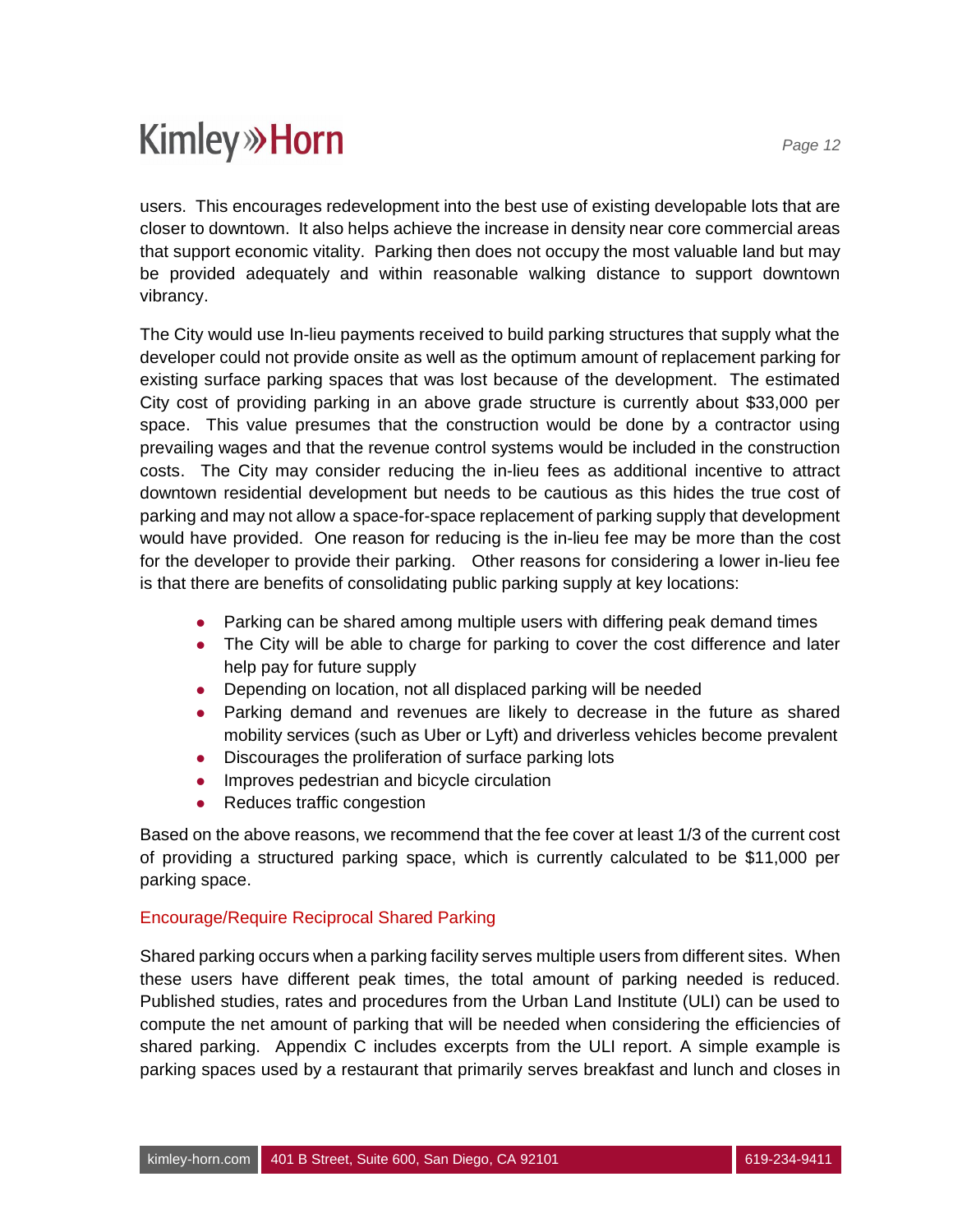users. This encourages redevelopment into the best use of existing developable lots that are closer to downtown. It also helps achieve the increase in density near core commercial areas that support economic vitality. Parking then does not occupy the most valuable land but may be provided adequately and within reasonable walking distance to support downtown vibrancy.

The City would use In-lieu payments received to build parking structures that supply what the developer could not provide onsite as well as the optimum amount of replacement parking for existing surface parking spaces that was lost because of the development. The estimated City cost of providing parking in an above grade structure is currently about \$33,000 per space. This value presumes that the construction would be done by a contractor using prevailing wages and that the revenue control systems would be included in the construction costs. The City may consider reducing the in-lieu fees as additional incentive to attract downtown residential development but needs to be cautious as this hides the true cost of parking and may not allow a space-for-space replacement of parking supply that development would have provided. One reason for reducing is the in-lieu fee may be more than the cost for the developer to provide their parking. Other reasons for considering a lower in-lieu fee is that there are benefits of consolidating public parking supply at key locations:

- Parking can be shared among multiple users with differing peak demand times
- The City will be able to charge for parking to cover the cost difference and later help pay for future supply
- Depending on location, not all displaced parking will be needed
- Parking demand and revenues are likely to decrease in the future as shared mobility services (such as Uber or Lyft) and driverless vehicles become prevalent
- Discourages the proliferation of surface parking lots
- **•** Improves pedestrian and bicycle circulation
- Reduces traffic congestion

Based on the above reasons, we recommend that the fee cover at least 1/3 of the current cost of providing a structured parking space, which is currently calculated to be \$11,000 per parking space.

#### Encourage/Require Reciprocal Shared Parking

Shared parking occurs when a parking facility serves multiple users from different sites. When these users have different peak times, the total amount of parking needed is reduced. Published studies, rates and procedures from the Urban Land Institute (ULI) can be used to compute the net amount of parking that will be needed when considering the efficiencies of shared parking. Appendix C includes excerpts from the ULI report. A simple example is parking spaces used by a restaurant that primarily serves breakfast and lunch and closes in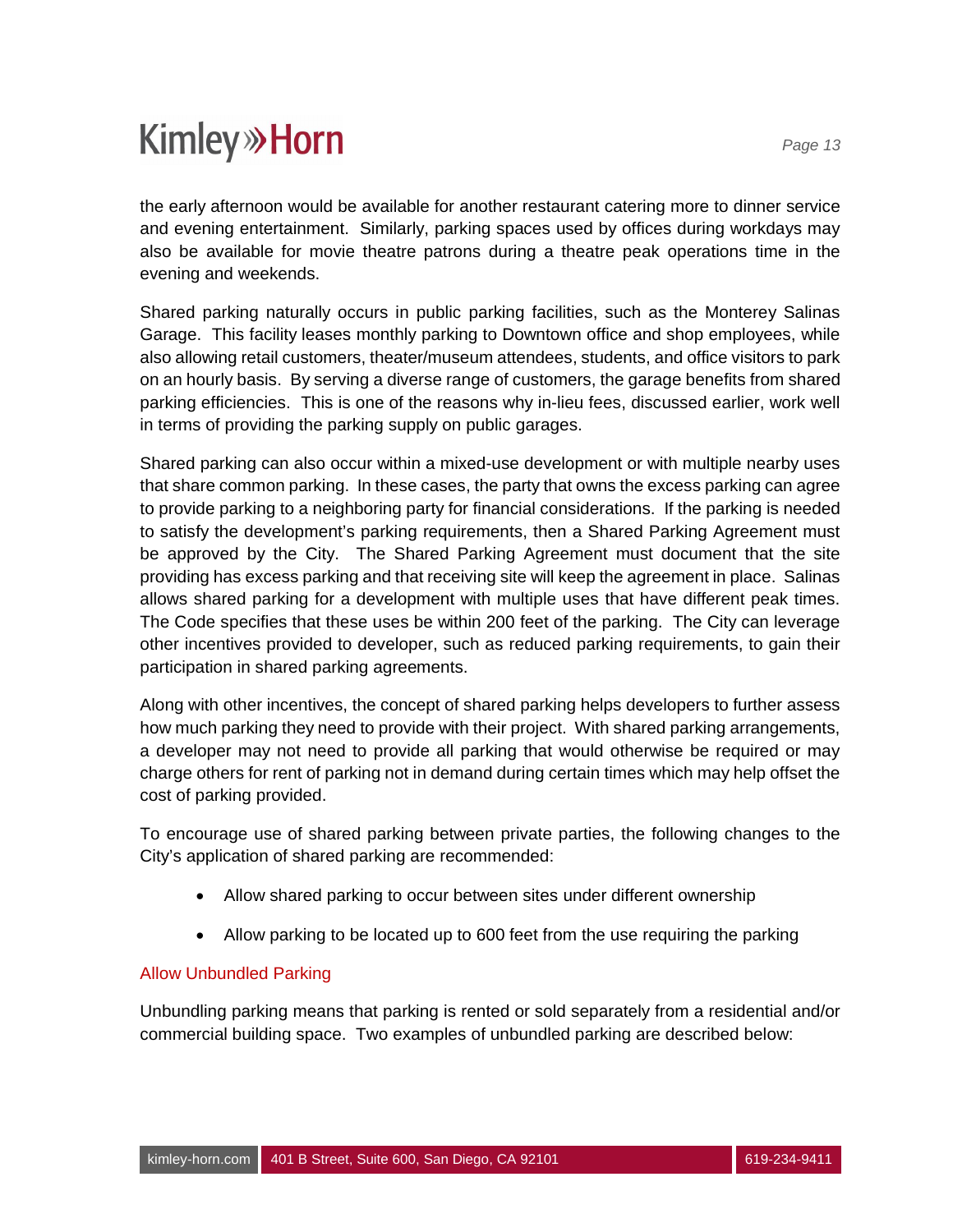the early afternoon would be available for another restaurant catering more to dinner service and evening entertainment. Similarly, parking spaces used by offices during workdays may also be available for movie theatre patrons during a theatre peak operations time in the evening and weekends.

Shared parking naturally occurs in public parking facilities, such as the Monterey Salinas Garage. This facility leases monthly parking to Downtown office and shop employees, while also allowing retail customers, theater/museum attendees, students, and office visitors to park on an hourly basis. By serving a diverse range of customers, the garage benefits from shared parking efficiencies. This is one of the reasons why in-lieu fees, discussed earlier, work well in terms of providing the parking supply on public garages.

Shared parking can also occur within a mixed-use development or with multiple nearby uses that share common parking. In these cases, the party that owns the excess parking can agree to provide parking to a neighboring party for financial considerations. If the parking is needed to satisfy the development's parking requirements, then a Shared Parking Agreement must be approved by the City. The Shared Parking Agreement must document that the site providing has excess parking and that receiving site will keep the agreement in place. Salinas allows shared parking for a development with multiple uses that have different peak times. The Code specifies that these uses be within 200 feet of the parking. The City can leverage other incentives provided to developer, such as reduced parking requirements, to gain their participation in shared parking agreements.

Along with other incentives, the concept of shared parking helps developers to further assess how much parking they need to provide with their project. With shared parking arrangements, a developer may not need to provide all parking that would otherwise be required or may charge others for rent of parking not in demand during certain times which may help offset the cost of parking provided.

To encourage use of shared parking between private parties, the following changes to the City's application of shared parking are recommended:

- · Allow shared parking to occur between sites under different ownership
- · Allow parking to be located up to 600 feet from the use requiring the parking

#### Allow Unbundled Parking

Unbundling parking means that parking is rented or sold separately from a residential and/or commercial building space. Two examples of unbundled parking are described below: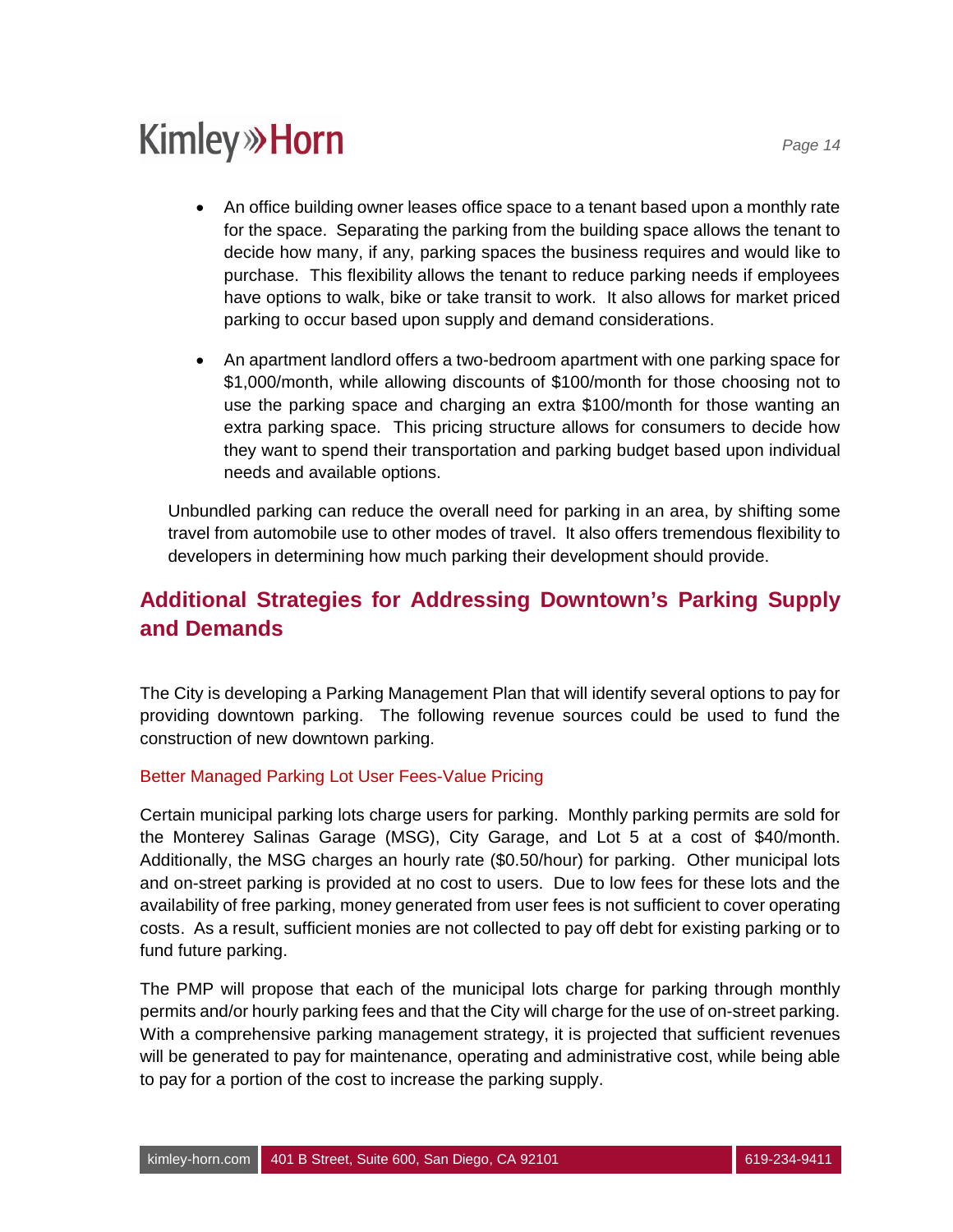- · An office building owner leases office space to a tenant based upon a monthly rate for the space. Separating the parking from the building space allows the tenant to decide how many, if any, parking spaces the business requires and would like to purchase. This flexibility allows the tenant to reduce parking needs if employees have options to walk, bike or take transit to work. It also allows for market priced parking to occur based upon supply and demand considerations.
- · An apartment landlord offers a two-bedroom apartment with one parking space for \$1,000/month, while allowing discounts of \$100/month for those choosing not to use the parking space and charging an extra \$100/month for those wanting an extra parking space. This pricing structure allows for consumers to decide how they want to spend their transportation and parking budget based upon individual needs and available options.

Unbundled parking can reduce the overall need for parking in an area, by shifting some travel from automobile use to other modes of travel. It also offers tremendous flexibility to developers in determining how much parking their development should provide.

### **Additional Strategies for Addressing Downtown's Parking Supply and Demands**

The City is developing a Parking Management Plan that will identify several options to pay for providing downtown parking. The following revenue sources could be used to fund the construction of new downtown parking.

#### Better Managed Parking Lot User Fees-Value Pricing

Certain municipal parking lots charge users for parking. Monthly parking permits are sold for the Monterey Salinas Garage (MSG), City Garage, and Lot 5 at a cost of \$40/month. Additionally, the MSG charges an hourly rate (\$0.50/hour) for parking. Other municipal lots and on-street parking is provided at no cost to users. Due to low fees for these lots and the availability of free parking, money generated from user fees is not sufficient to cover operating costs. As a result, sufficient monies are not collected to pay off debt for existing parking or to fund future parking.

The PMP will propose that each of the municipal lots charge for parking through monthly permits and/or hourly parking fees and that the City will charge for the use of on-street parking. With a comprehensive parking management strategy, it is projected that sufficient revenues will be generated to pay for maintenance, operating and administrative cost, while being able to pay for a portion of the cost to increase the parking supply.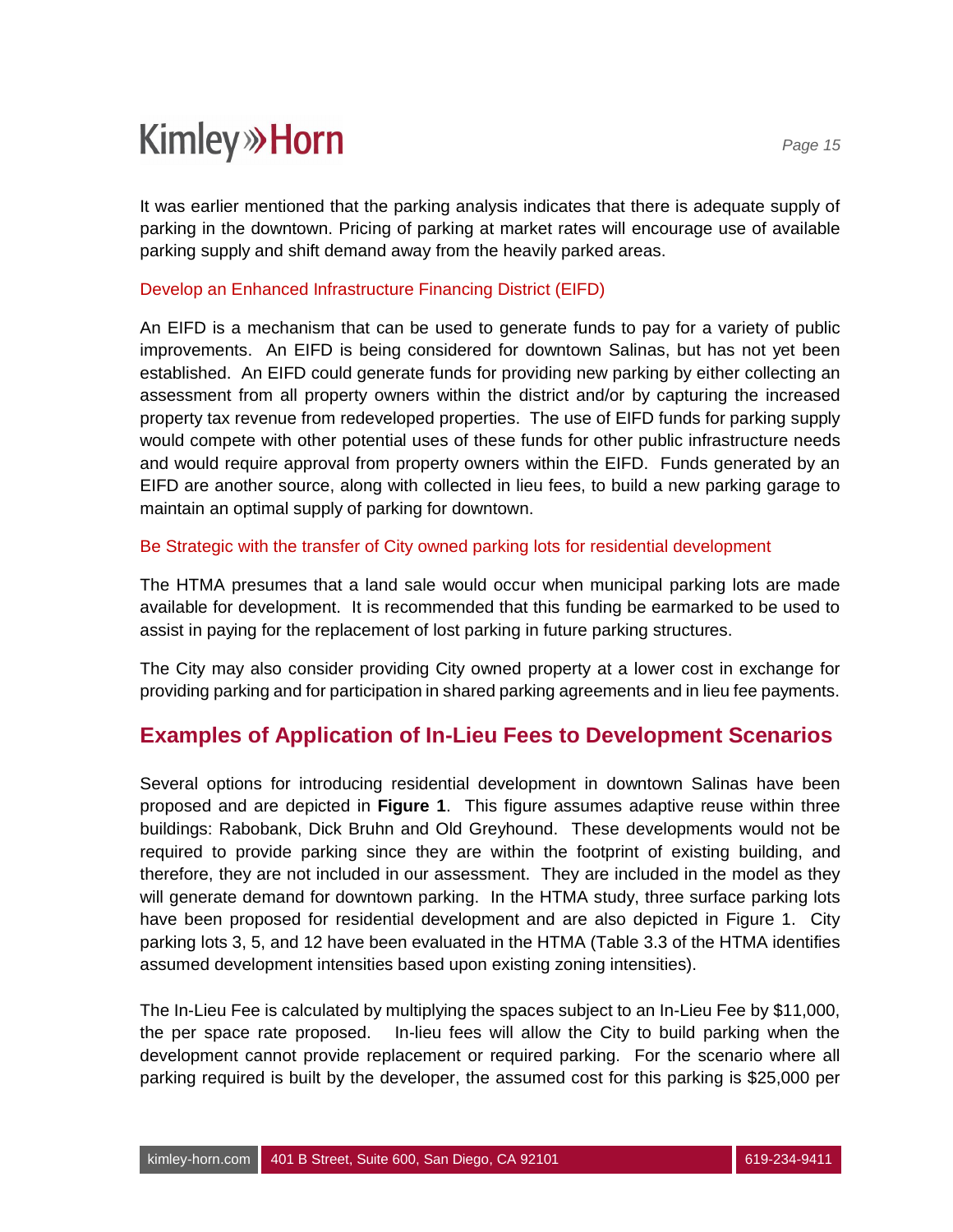It was earlier mentioned that the parking analysis indicates that there is adequate supply of parking in the downtown. Pricing of parking at market rates will encourage use of available parking supply and shift demand away from the heavily parked areas.

#### Develop an Enhanced Infrastructure Financing District (EIFD)

An EIFD is a mechanism that can be used to generate funds to pay for a variety of public improvements. An EIFD is being considered for downtown Salinas, but has not yet been established. An EIFD could generate funds for providing new parking by either collecting an assessment from all property owners within the district and/or by capturing the increased property tax revenue from redeveloped properties. The use of EIFD funds for parking supply would compete with other potential uses of these funds for other public infrastructure needs and would require approval from property owners within the EIFD. Funds generated by an EIFD are another source, along with collected in lieu fees, to build a new parking garage to maintain an optimal supply of parking for downtown.

#### Be Strategic with the transfer of City owned parking lots for residential development

The HTMA presumes that a land sale would occur when municipal parking lots are made available for development. It is recommended that this funding be earmarked to be used to assist in paying for the replacement of lost parking in future parking structures.

The City may also consider providing City owned property at a lower cost in exchange for providing parking and for participation in shared parking agreements and in lieu fee payments.

### **Examples of Application of In-Lieu Fees to Development Scenarios**

Several options for introducing residential development in downtown Salinas have been proposed and are depicted in **Figure 1**. This figure assumes adaptive reuse within three buildings: Rabobank, Dick Bruhn and Old Greyhound. These developments would not be required to provide parking since they are within the footprint of existing building, and therefore, they are not included in our assessment. They are included in the model as they will generate demand for downtown parking. In the HTMA study, three surface parking lots have been proposed for residential development and are also depicted in Figure 1. City parking lots 3, 5, and 12 have been evaluated in the HTMA (Table 3.3 of the HTMA identifies assumed development intensities based upon existing zoning intensities).

The In-Lieu Fee is calculated by multiplying the spaces subject to an In-Lieu Fee by \$11,000, the per space rate proposed. In-lieu fees will allow the City to build parking when the development cannot provide replacement or required parking. For the scenario where all parking required is built by the developer, the assumed cost for this parking is \$25,000 per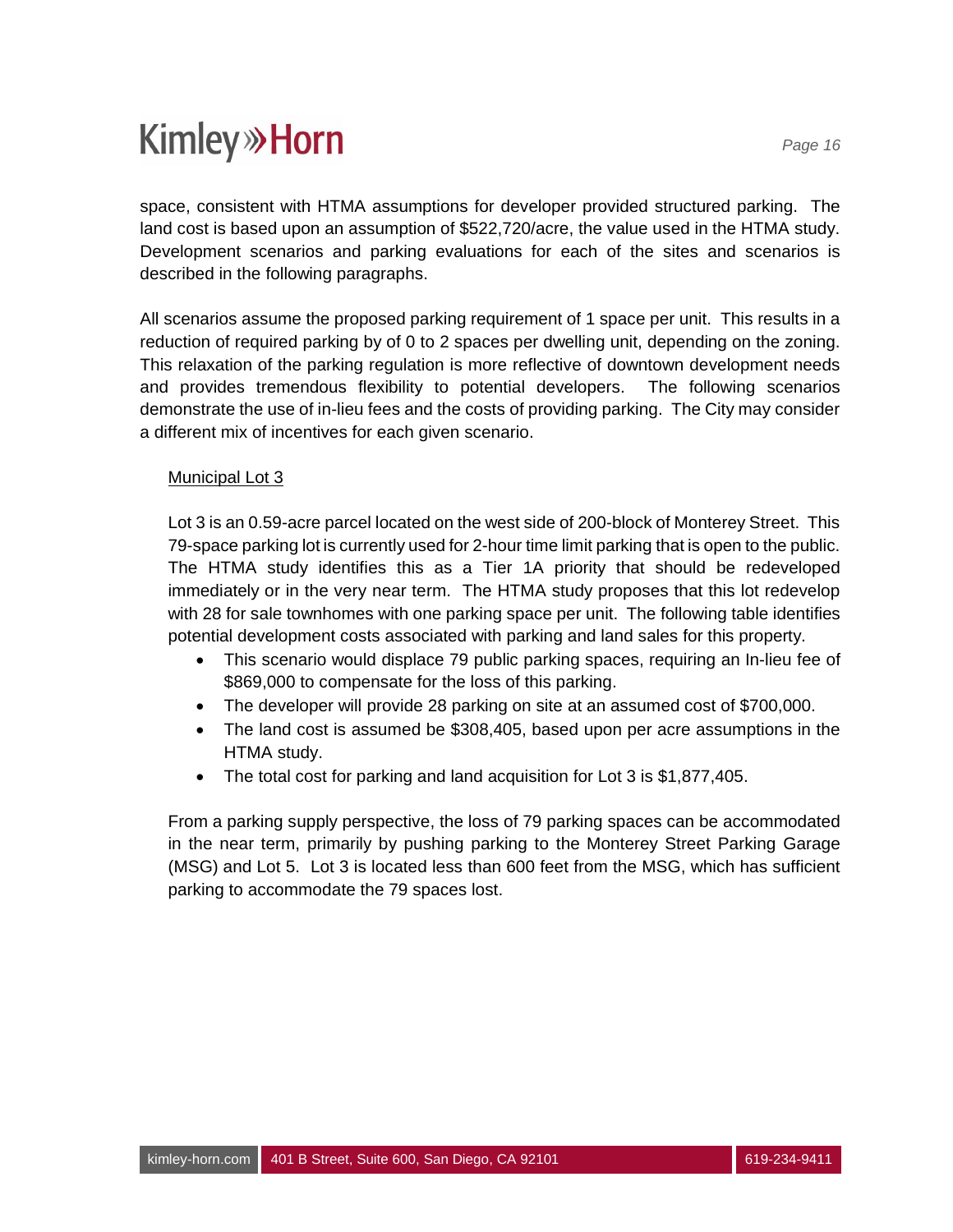space, consistent with HTMA assumptions for developer provided structured parking. The land cost is based upon an assumption of \$522,720/acre, the value used in the HTMA study. Development scenarios and parking evaluations for each of the sites and scenarios is described in the following paragraphs.

All scenarios assume the proposed parking requirement of 1 space per unit. This results in a reduction of required parking by of 0 to 2 spaces per dwelling unit, depending on the zoning. This relaxation of the parking regulation is more reflective of downtown development needs and provides tremendous flexibility to potential developers. The following scenarios demonstrate the use of in-lieu fees and the costs of providing parking. The City may consider a different mix of incentives for each given scenario.

#### Municipal Lot 3

Lot 3 is an 0.59-acre parcel located on the west side of 200-block of Monterey Street. This 79-space parking lot is currently used for 2-hour time limit parking that is open to the public. The HTMA study identifies this as a Tier 1A priority that should be redeveloped immediately or in the very near term. The HTMA study proposes that this lot redevelop with 28 for sale townhomes with one parking space per unit. The following table identifies potential development costs associated with parking and land sales for this property.

- · This scenario would displace 79 public parking spaces, requiring an In-lieu fee of \$869,000 to compensate for the loss of this parking.
- · The developer will provide 28 parking on site at an assumed cost of \$700,000.
- · The land cost is assumed be \$308,405, based upon per acre assumptions in the HTMA study.
- The total cost for parking and land acquisition for Lot 3 is \$1,877,405.

From a parking supply perspective, the loss of 79 parking spaces can be accommodated in the near term, primarily by pushing parking to the Monterey Street Parking Garage (MSG) and Lot 5. Lot 3 is located less than 600 feet from the MSG, which has sufficient parking to accommodate the 79 spaces lost.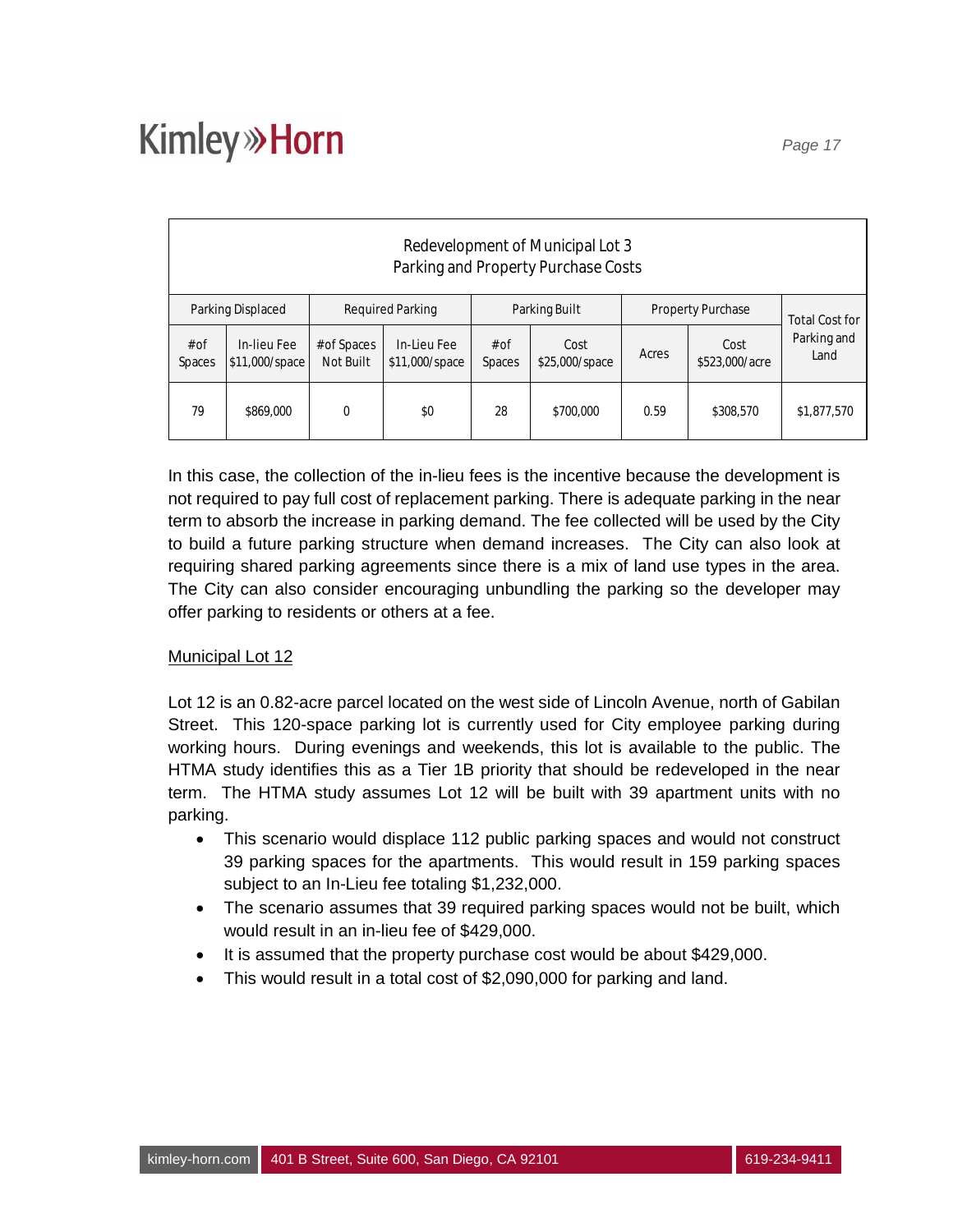| Redevelopment of Municipal Lot 3<br>Parking and Property Purchase Costs |                                                                                           |                          |                               |                |                        |       |                        |                     |  |
|-------------------------------------------------------------------------|-------------------------------------------------------------------------------------------|--------------------------|-------------------------------|----------------|------------------------|-------|------------------------|---------------------|--|
|                                                                         | <b>Required Parking</b><br>Parking Built<br>Parking Displaced<br><b>Property Purchase</b> |                          |                               |                |                        |       | <b>Total Cost for</b>  |                     |  |
| $#$ of<br>Spaces                                                        | In-lieu Fee<br>\$11,000/space                                                             | # of Spaces<br>Not Built | In-Lieu Fee<br>\$11,000/space | # of<br>Spaces | Cost<br>\$25,000/space | Acres | Cost<br>\$523,000/acre | Parking and<br>Land |  |
| 28<br>79<br>0<br>\$0<br>0.59<br>\$869,000<br>\$700,000<br>\$308,570     |                                                                                           |                          |                               |                |                        |       |                        | \$1,877,570         |  |

In this case, the collection of the in-lieu fees is the incentive because the development is not required to pay full cost of replacement parking. There is adequate parking in the near term to absorb the increase in parking demand. The fee collected will be used by the City to build a future parking structure when demand increases. The City can also look at requiring shared parking agreements since there is a mix of land use types in the area. The City can also consider encouraging unbundling the parking so the developer may offer parking to residents or others at a fee.

#### Municipal Lot 12

Lot 12 is an 0.82-acre parcel located on the west side of Lincoln Avenue, north of Gabilan Street. This 120-space parking lot is currently used for City employee parking during working hours. During evenings and weekends, this lot is available to the public. The HTMA study identifies this as a Tier 1B priority that should be redeveloped in the near term. The HTMA study assumes Lot 12 will be built with 39 apartment units with no parking.

- This scenario would displace 112 public parking spaces and would not construct 39 parking spaces for the apartments. This would result in 159 parking spaces subject to an In-Lieu fee totaling \$1,232,000.
- · The scenario assumes that 39 required parking spaces would not be built, which would result in an in-lieu fee of \$429,000.
- It is assumed that the property purchase cost would be about \$429,000.
- This would result in a total cost of \$2,090,000 for parking and land.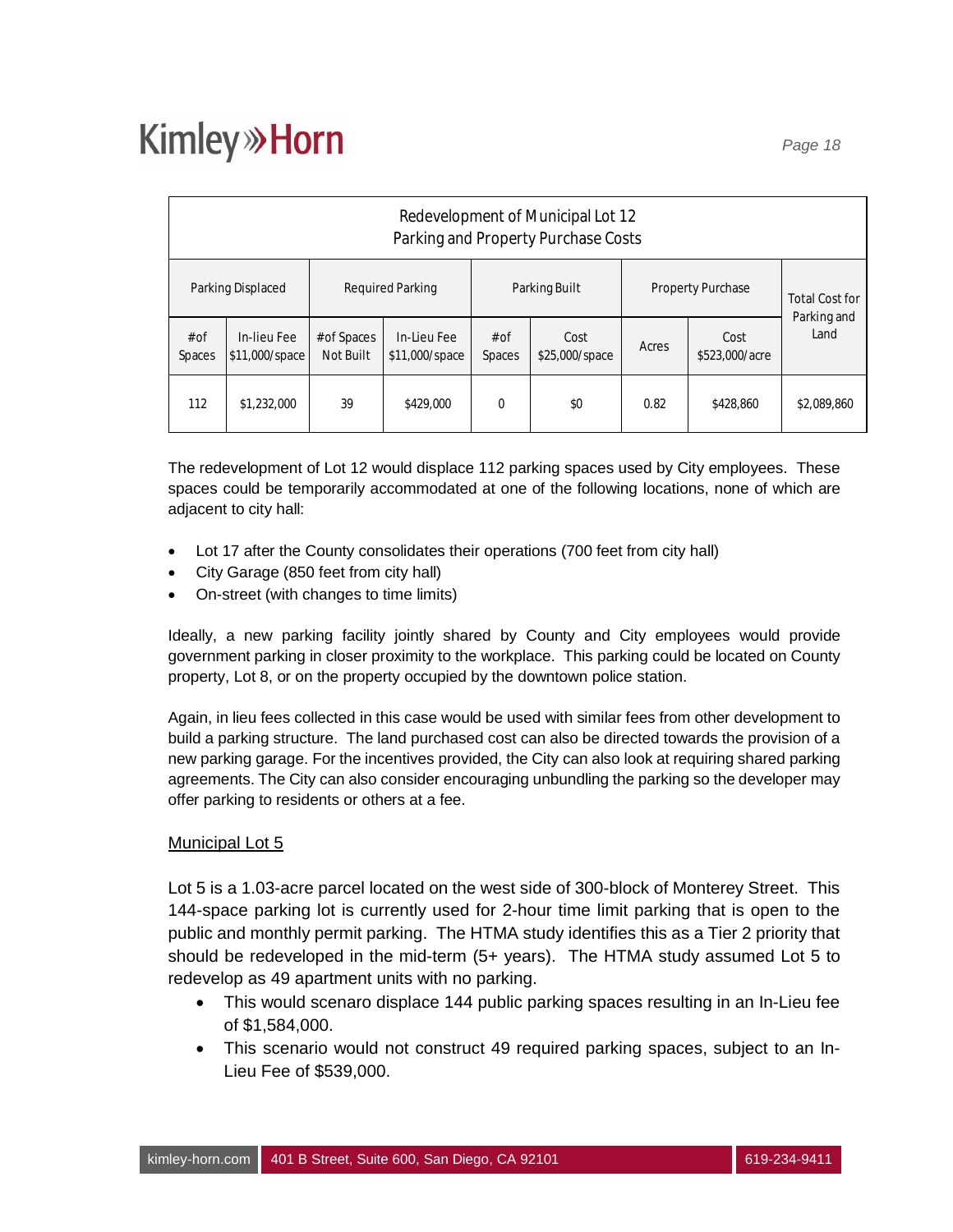| Redevelopment of Municipal Lot 12<br>Parking and Property Purchase Costs |                               |                          |                               |                       |                        |                          |                        |                     |  |
|--------------------------------------------------------------------------|-------------------------------|--------------------------|-------------------------------|-----------------------|------------------------|--------------------------|------------------------|---------------------|--|
|                                                                          | Parking Displaced             | Required Parking         |                               | Parking Built         |                        | <b>Property Purchase</b> | <b>Total Cost for</b>  |                     |  |
| $#$ of<br><b>Spaces</b>                                                  | In-lieu Fee<br>\$11,000/space | # of Spaces<br>Not Built | In-Lieu Fee<br>\$11,000/space | # of<br><b>Spaces</b> | Cost<br>\$25,000/space | Acres                    | Cost<br>\$523,000/acre | Parking and<br>Land |  |
| 112                                                                      | \$1,232,000                   | 39                       | \$429,000                     | $\Omega$              | \$0                    | 0.82                     | \$428,860              | \$2,089,860         |  |

The redevelopment of Lot 12 would displace 112 parking spaces used by City employees. These spaces could be temporarily accommodated at one of the following locations, none of which are adjacent to city hall:

- · Lot 17 after the County consolidates their operations (700 feet from city hall)
- · City Garage (850 feet from city hall)
- · On-street (with changes to time limits)

Ideally, a new parking facility jointly shared by County and City employees would provide government parking in closer proximity to the workplace. This parking could be located on County property, Lot 8, or on the property occupied by the downtown police station.

Again, in lieu fees collected in this case would be used with similar fees from other development to build a parking structure. The land purchased cost can also be directed towards the provision of a new parking garage. For the incentives provided, the City can also look at requiring shared parking agreements. The City can also consider encouraging unbundling the parking so the developer may offer parking to residents or others at a fee.

#### Municipal Lot 5

Lot 5 is a 1.03-acre parcel located on the west side of 300-block of Monterey Street. This 144-space parking lot is currently used for 2-hour time limit parking that is open to the public and monthly permit parking. The HTMA study identifies this as a Tier 2 priority that should be redeveloped in the mid-term (5+ years). The HTMA study assumed Lot 5 to redevelop as 49 apartment units with no parking.

- · This would scenaro displace 144 public parking spaces resulting in an In-Lieu fee of \$1,584,000.
- · This scenario would not construct 49 required parking spaces, subject to an In-Lieu Fee of \$539,000.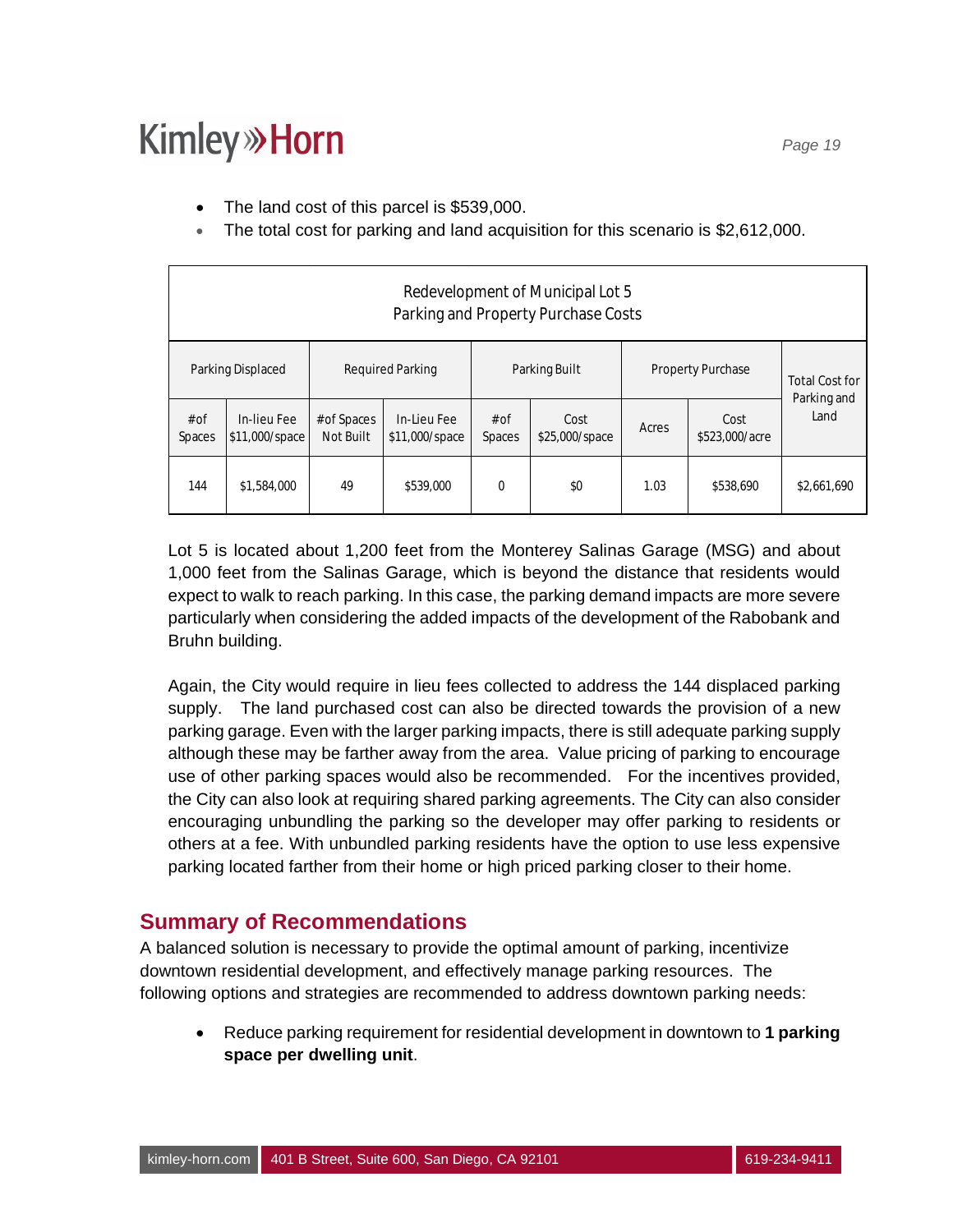- The land cost of this parcel is \$539,000.
- · The total cost for parking and land acquisition for this scenario is \$2,612,000.

| Redevelopment of Municipal Lot 5<br>Parking and Property Purchase Costs |                               |                          |                               |                |                        |                                 |           |                       |  |
|-------------------------------------------------------------------------|-------------------------------|--------------------------|-------------------------------|----------------|------------------------|---------------------------------|-----------|-----------------------|--|
|                                                                         | Parking Displaced             | <b>Required Parking</b>  |                               | Parking Built  |                        | <b>Property Purchase</b>        |           | <b>Total Cost for</b> |  |
| $#$ of<br>Spaces                                                        | In-lieu Fee<br>\$11,000/space | # of Spaces<br>Not Built | In-Lieu Fee<br>\$11,000/space | # of<br>Spaces | Cost<br>\$25,000/space | Cost<br>Acres<br>\$523,000/acre |           | Parking and<br>Land   |  |
| 144                                                                     | \$1,584,000                   | 49                       | \$539,000                     | $\Omega$       | \$0                    | 1.03                            | \$538,690 | \$2,661,690           |  |

Lot 5 is located about 1,200 feet from the Monterey Salinas Garage (MSG) and about 1,000 feet from the Salinas Garage, which is beyond the distance that residents would expect to walk to reach parking. In this case, the parking demand impacts are more severe particularly when considering the added impacts of the development of the Rabobank and Bruhn building.

Again, the City would require in lieu fees collected to address the 144 displaced parking supply. The land purchased cost can also be directed towards the provision of a new parking garage. Even with the larger parking impacts, there is still adequate parking supply although these may be farther away from the area. Value pricing of parking to encourage use of other parking spaces would also be recommended. For the incentives provided, the City can also look at requiring shared parking agreements. The City can also consider encouraging unbundling the parking so the developer may offer parking to residents or others at a fee. With unbundled parking residents have the option to use less expensive parking located farther from their home or high priced parking closer to their home.

### **Summary of Recommendations**

A balanced solution is necessary to provide the optimal amount of parking, incentivize downtown residential development, and effectively manage parking resources. The following options and strategies are recommended to address downtown parking needs:

· Reduce parking requirement for residential development in downtown to **1 parking space per dwelling unit**.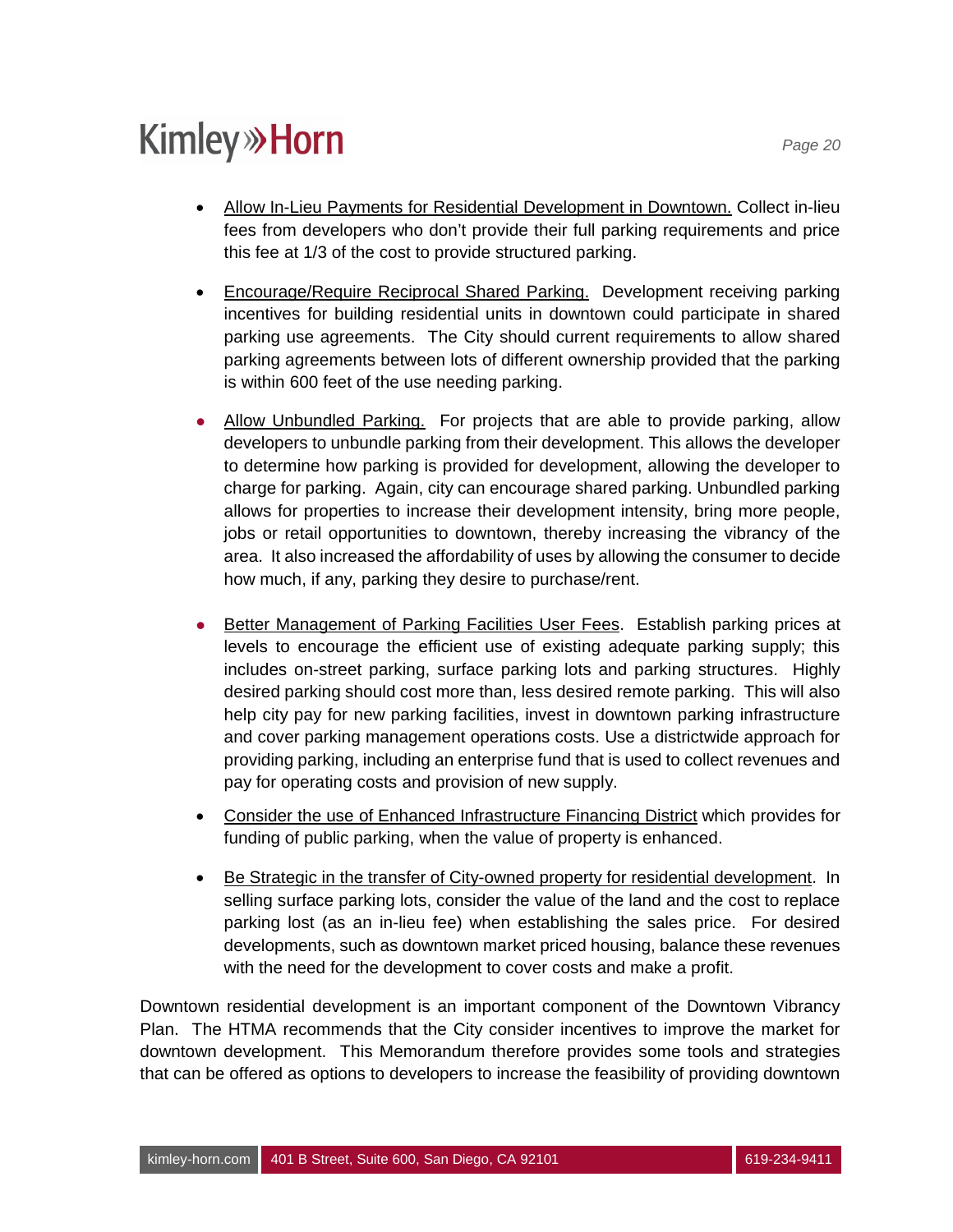- · Allow In-Lieu Payments for Residential Development in Downtown. Collect in-lieu fees from developers who don't provide their full parking requirements and price this fee at 1/3 of the cost to provide structured parking.
- · Encourage/Require Reciprocal Shared Parking. Development receiving parking incentives for building residential units in downtown could participate in shared parking use agreements. The City should current requirements to allow shared parking agreements between lots of different ownership provided that the parking is within 600 feet of the use needing parking.
- Allow Unbundled Parking. For projects that are able to provide parking, allow developers to unbundle parking from their development. This allows the developer to determine how parking is provided for development, allowing the developer to charge for parking. Again, city can encourage shared parking. Unbundled parking allows for properties to increase their development intensity, bring more people, jobs or retail opportunities to downtown, thereby increasing the vibrancy of the area. It also increased the affordability of uses by allowing the consumer to decide how much, if any, parking they desire to purchase/rent.
- **E** Better Management of Parking Facilities User Fees. Establish parking prices at levels to encourage the efficient use of existing adequate parking supply; this includes on-street parking, surface parking lots and parking structures. Highly desired parking should cost more than, less desired remote parking. This will also help city pay for new parking facilities, invest in downtown parking infrastructure and cover parking management operations costs. Use a districtwide approach for providing parking, including an enterprise fund that is used to collect revenues and pay for operating costs and provision of new supply.
- · Consider the use of Enhanced Infrastructure Financing District which provides for funding of public parking, when the value of property is enhanced.
- · Be Strategic in the transfer of City-owned property for residential development. In selling surface parking lots, consider the value of the land and the cost to replace parking lost (as an in-lieu fee) when establishing the sales price. For desired developments, such as downtown market priced housing, balance these revenues with the need for the development to cover costs and make a profit.

Downtown residential development is an important component of the Downtown Vibrancy Plan. The HTMA recommends that the City consider incentives to improve the market for downtown development. This Memorandum therefore provides some tools and strategies that can be offered as options to developers to increase the feasibility of providing downtown